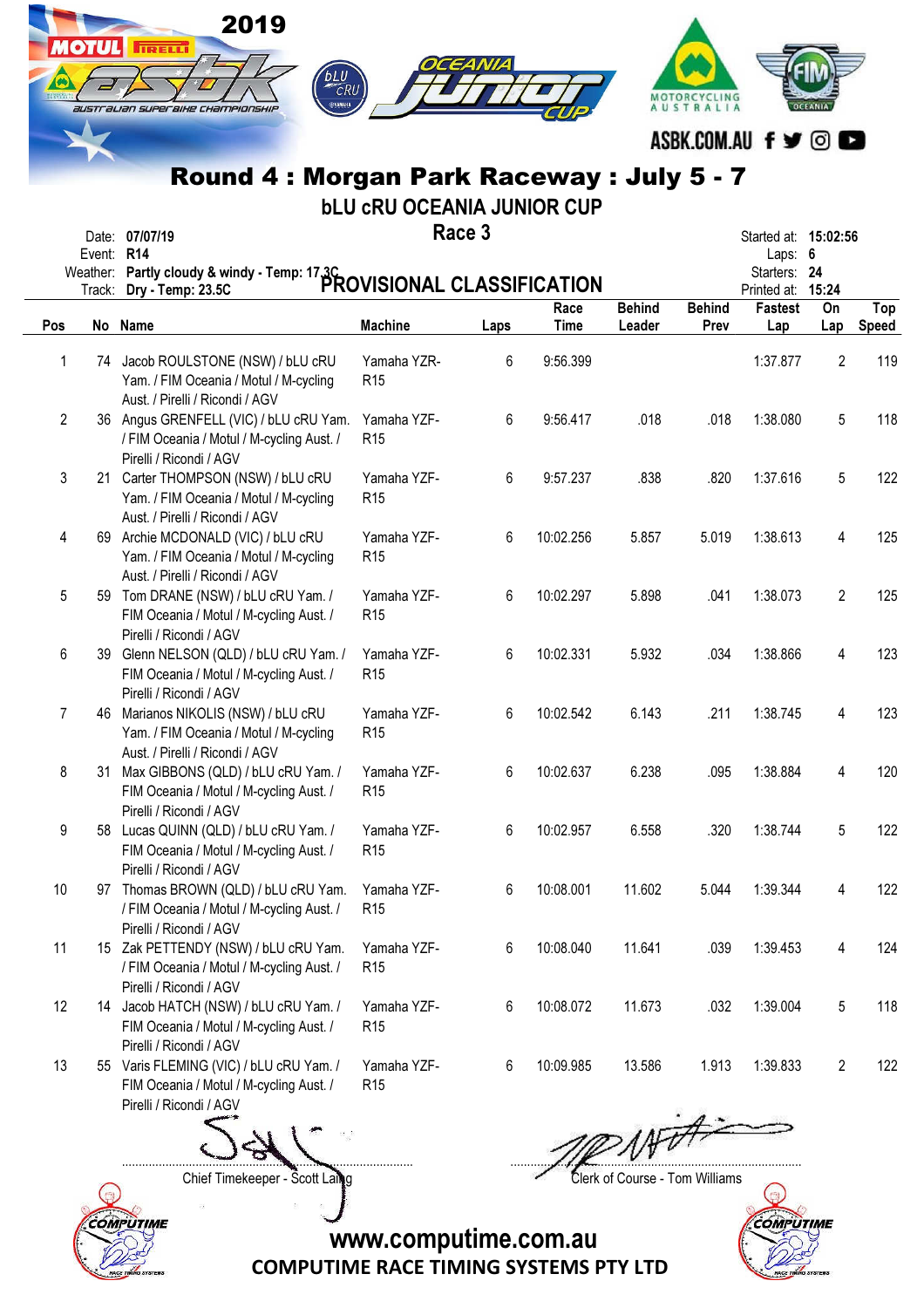|                | <b>OTUL</b> | 2019<br><b>TRELL</b><br>CRU                                                                                             |                                   |        |             |               | MOTORCYCLING<br>AUSTRALIA |                                   |                |              |
|----------------|-------------|-------------------------------------------------------------------------------------------------------------------------|-----------------------------------|--------|-------------|---------------|---------------------------|-----------------------------------|----------------|--------------|
|                |             | australian superaixe championship                                                                                       |                                   |        |             |               |                           | ASBK.COM.AU f y ©                 |                |              |
|                |             | Round 4: Morgan Park Raceway: July 5 - 7                                                                                |                                   |        |             |               |                           |                                   |                |              |
|                |             |                                                                                                                         | <b>bLU CRU OCEANIA JUNIOR CUP</b> |        |             |               |                           |                                   |                |              |
|                |             | Date: 07/07/19                                                                                                          |                                   | Race 3 |             |               |                           | Started at: 15:02:56              |                |              |
|                | Event: R14  |                                                                                                                         |                                   |        |             |               |                           | Laps: 6                           |                |              |
|                |             | Event. Nixty cloudy & windy - Temp: 17.3C<br>Weather: Partly cloudy & windy - Temp: 17.3C<br>PROVISIONAL CLASSIFICATION |                                   |        |             |               |                           | Starters: 24<br>Printed at: 15:24 |                |              |
|                |             |                                                                                                                         |                                   |        | Race        | <b>Behind</b> | <b>Behind</b>             | <b>Fastest</b>                    | On             | Top          |
| Pos            |             | No Name                                                                                                                 | <b>Machine</b>                    | Laps   | <b>Time</b> | Leader        | Prev                      | Lap                               | Lap            | <b>Speed</b> |
| 1              |             | 74 Jacob ROULSTONE (NSW) / bLU cRU<br>Yam. / FIM Oceania / Motul / M-cycling<br>Aust. / Pirelli / Ricondi / AGV         | Yamaha YZR-<br>R <sub>15</sub>    | 6      | 9:56.399    |               |                           | 1:37.877                          | 2              | 119          |
| $\overline{2}$ |             | 36 Angus GRENFELL (VIC) / bLU cRU Yam.<br>/ FIM Oceania / Motul / M-cycling Aust. /<br>Pirelli / Ricondi / AGV          | Yamaha YZF-<br>R <sub>15</sub>    | 6      | 9:56.417    | .018          | .018                      | 1:38.080                          | 5              | 118          |
| 3              |             | 21 Carter THOMPSON (NSW) / bLU cRU<br>Yam. / FIM Oceania / Motul / M-cycling<br>Aust. / Pirelli / Ricondi / AGV         | Yamaha YZF-<br>R <sub>15</sub>    | 6      | 9:57.237    | .838          | .820                      | 1:37.616                          | 5              | 122          |
| 4              |             | 69 Archie MCDONALD (VIC) / bLU cRU<br>Yam. / FIM Oceania / Motul / M-cycling<br>Aust. / Pirelli / Ricondi / AGV         | Yamaha YZF-<br>R <sub>15</sub>    | 6      | 10:02.256   | 5.857         | 5.019                     | 1:38.613                          | 4              | 125          |
| 5              |             | 59 Tom DRANE (NSW) / bLU cRU Yam. /<br>FIM Oceania / Motul / M-cycling Aust. /<br>Pirelli / Ricondi / AGV               | Yamaha YZF-<br>R <sub>15</sub>    | 6      | 10:02.297   | 5.898         | .041                      | 1:38.073                          | $\overline{2}$ | 125          |
| 6              |             | 39 Glenn NELSON (QLD) / bLU cRU Yam. /<br>FIM Oceania / Motul / M-cycling Aust. /<br>Pirelli / Ricondi / AGV            | Yamaha YZF-<br>R <sub>15</sub>    | 6      | 10:02.331   | 5.932         | .034                      | 1:38.866                          | 4              | 123          |
| 7              | 46          | Marianos NIKOLIS (NSW) / bLU cRU<br>Yam. / FIM Oceania / Motul / M-cycling<br>Aust. / Pirelli / Ricondi / AGV           | Yamaha YZF-<br>R <sub>15</sub>    | 6      | 10:02.542   | 6.143         | .211                      | 1:38.745                          | 4              | 123          |
| 8              | 31          | Max GIBBONS (QLD) / bLU cRU Yam. /<br>FIM Oceania / Motul / M-cycling Aust. /<br>Pirelli / Ricondi / AGV                | Yamaha YZF-<br>R <sub>15</sub>    | 6      | 10:02.637   | 6.238         | .095                      | 1:38.884                          | 4              | 120          |
| 9              |             | 58 Lucas QUINN (QLD) / bLU cRU Yam. /<br>FIM Oceania / Motul / M-cycling Aust. /<br>Pirelli / Ricondi / AGV             | Yamaha YZF-<br>R <sub>15</sub>    | 6      | 10:02.957   | 6.558         | .320                      | 1:38.744                          | 5              | 122          |
| 10             |             | 97 Thomas BROWN (QLD) / bLU cRU Yam.<br>/ FIM Oceania / Motul / M-cycling Aust. /<br>Pirelli / Ricondi / AGV            | Yamaha YZF-<br>R <sub>15</sub>    | 6      | 10:08.001   | 11.602        | 5.044                     | 1:39.344                          | 4              | 122          |
| 11             |             | 15 Zak PETTENDY (NSW) / bLU cRU Yam.<br>/ FIM Oceania / Motul / M-cycling Aust. /<br>Pirelli / Ricondi / AGV            | Yamaha YZF-<br>R <sub>15</sub>    | 6      | 10:08.040   | 11.641        | .039                      | 1:39.453                          | 4              | 124          |
| 12             |             | 14 Jacob HATCH (NSW) / bLU cRU Yam. /<br>FIM Oceania / Motul / M-cycling Aust. /<br>Pirelli / Ricondi / AGV             | Yamaha YZF-<br>R <sub>15</sub>    | 6      | 10:08.072   | 11.673        | .032                      | 1:39.004                          | 5              | 118          |
| 13             |             | 55 Varis FLEMING (VIC) / bLU cRU Yam. /<br>FIM Oceania / Motul / M-cycling Aust. /<br>Pirelli / Ricondi / AGV           | Yamaha YZF-<br>R <sub>15</sub>    | 6      | 10:09.985   | 13.586        | 1.913                     | 1:39.833                          | $\overline{2}$ | 122          |
|                |             | $\leq$                                                                                                                  |                                   |        |             |               |                           |                                   |                |              |

....................................................................................... .......................................................................................



Chief Timekeeper - Scott Laing Clerk of Course - Tom Williams

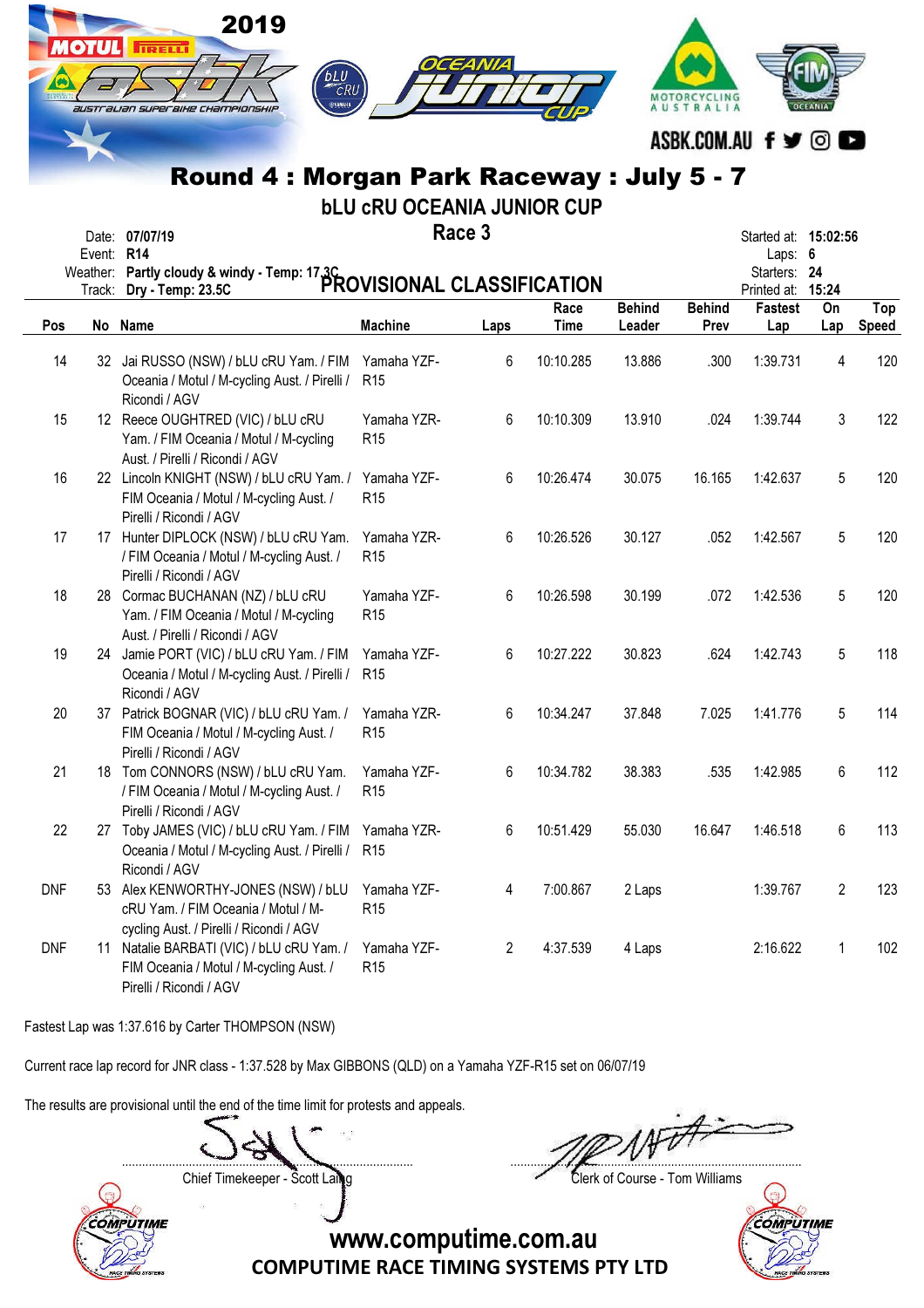|            | <b>OTUL</b> | 2019<br><b>IRELLI</b><br>bLU<br>CRU<br>australian superaixe championskip<br>Round 4 : Morgan Park Raceway : July 5 - 7<br>Date: 07/07/19 | <b>bLU CRU OCEANIA JUNIOR CUP</b> | Race 3         |              |                         | MOTORCYCLING<br><b>AUSTRALIA</b> | ASBK.COM.AU f <b>y</b> © <b>c</b><br>Started at: 15:02:56 |                |                     |
|------------|-------------|------------------------------------------------------------------------------------------------------------------------------------------|-----------------------------------|----------------|--------------|-------------------------|----------------------------------|-----------------------------------------------------------|----------------|---------------------|
|            | Event: R14  |                                                                                                                                          |                                   |                |              |                         |                                  | Laps: $6$                                                 |                |                     |
|            |             | Weather: Partly cloudy & windy - Temp: 17.3C<br>PROVISIONAL CLASSIFICATION                                                               |                                   |                |              |                         |                                  | Starters: 24<br>Printed at: 15:24                         |                |                     |
| Pos        |             | No Name                                                                                                                                  | <b>Machine</b>                    | Laps           | Race<br>Time | <b>Behind</b><br>Leader | <b>Behind</b><br>Prev            | Fastest<br>Lap                                            | On<br>Lap      | Top<br><b>Speed</b> |
| 14         |             | 32 Jai RUSSO (NSW) / bLU cRU Yam. / FIM<br>Oceania / Motul / M-cycling Aust. / Pirelli /<br>Ricondi / AGV                                | Yamaha YZF-<br>R <sub>15</sub>    | 6              | 10:10.285    | 13.886                  | .300                             | 1:39.731                                                  | 4              | 120                 |
| 15         |             | 12 Reece OUGHTRED (VIC) / bLU cRU<br>Yam. / FIM Oceania / Motul / M-cycling<br>Aust. / Pirelli / Ricondi / AGV                           | Yamaha YZR-<br>R <sub>15</sub>    | 6              | 10:10.309    | 13.910                  | .024                             | 1:39.744                                                  | 3              | 122                 |
| 16         |             | 22 Lincoln KNIGHT (NSW) / bLU cRU Yam. /<br>FIM Oceania / Motul / M-cycling Aust. /<br>Pirelli / Ricondi / AGV                           | Yamaha YZF-<br>R <sub>15</sub>    | 6              | 10:26.474    | 30.075                  | 16.165                           | 1:42.637                                                  | 5              | 120                 |
| 17         |             | 17 Hunter DIPLOCK (NSW) / bLU cRU Yam.<br>/ FIM Oceania / Motul / M-cycling Aust. /<br>Pirelli / Ricondi / AGV                           | Yamaha YZR-<br>R <sub>15</sub>    | 6              | 10:26.526    | 30.127                  | .052                             | 1:42.567                                                  | 5              | 120                 |
| 18         |             | 28 Cormac BUCHANAN (NZ) / bLU cRU<br>Yam. / FIM Oceania / Motul / M-cycling<br>Aust. / Pirelli / Ricondi / AGV                           | Yamaha YZF-<br>R <sub>15</sub>    | 6              | 10:26.598    | 30.199                  | .072                             | 1:42.536                                                  | 5              | 120                 |
| 19         | 24          | Jamie PORT (VIC) / bLU cRU Yam. / FIM<br>Oceania / Motul / M-cycling Aust. / Pirelli /<br>Ricondi / AGV                                  | Yamaha YZF-<br>R <sub>15</sub>    | 6              | 10:27.222    | 30.823                  | .624                             | 1:42.743                                                  | 5              | 118                 |
| 20         |             | 37 Patrick BOGNAR (VIC) / bLU cRU Yam. /<br>FIM Oceania / Motul / M-cycling Aust. /<br>Pirelli / Ricondi / AGV                           | Yamaha YZR-<br>R <sub>15</sub>    | 6              | 10:34.247    | 37.848                  | 7.025                            | 1:41.776                                                  | 5              | 114                 |
| 21         |             | 18 Tom CONNORS (NSW) / bLU cRU Yam.<br>/ FIM Oceania / Motul / M-cycling Aust. /<br>Pirelli / Ricondi / AGV                              | Yamaha YZF-<br>R <sub>15</sub>    | 6              | 10:34.782    | 38.383                  | .535                             | 1:42.985                                                  | 6              | 112                 |
| 22         | 27          | Toby JAMES (VIC) / bLU cRU Yam. / FIM<br>Oceania / Motul / M-cycling Aust. / Pirelli /<br>Ricondi / AGV                                  | Yamaha YZR-<br>R <sub>15</sub>    | 6              | 10:51.429    | 55.030                  | 16.647                           | 1:46.518                                                  | 6              | 113                 |
| <b>DNF</b> |             | 53 Alex KENWORTHY-JONES (NSW) / bLU<br>cRU Yam. / FIM Oceania / Motul / M-<br>cycling Aust. / Pirelli / Ricondi / AGV                    | Yamaha YZF-<br>R <sub>15</sub>    | 4              | 7:00.867     | 2 Laps                  |                                  | 1:39.767                                                  | $\overline{2}$ | 123                 |
| <b>DNF</b> | 11          | Natalie BARBATI (VIC) / bLU cRU Yam. /<br>FIM Oceania / Motul / M-cycling Aust. /                                                        | Yamaha YZF-<br>R <sub>15</sub>    | $\overline{2}$ | 4:37.539     | 4 Laps                  |                                  | 2:16.622                                                  | $\mathbf{1}$   | 102                 |

Fastest Lap was 1:37.616 by Carter THOMPSON (NSW)

Pirelli / Ricondi / AGV

Current race lap record for JNR class - 1:37.528 by Max GIBBONS (QLD) on a Yamaha YZF-R15 set on 06/07/19

The results are provisional until the end of the time limit for protests and appeals.

....................................................................................... .......................................................................................

Chief Timekeeper - Scott Laing Clerk of Course - Tom Williams



**COMPUTIME**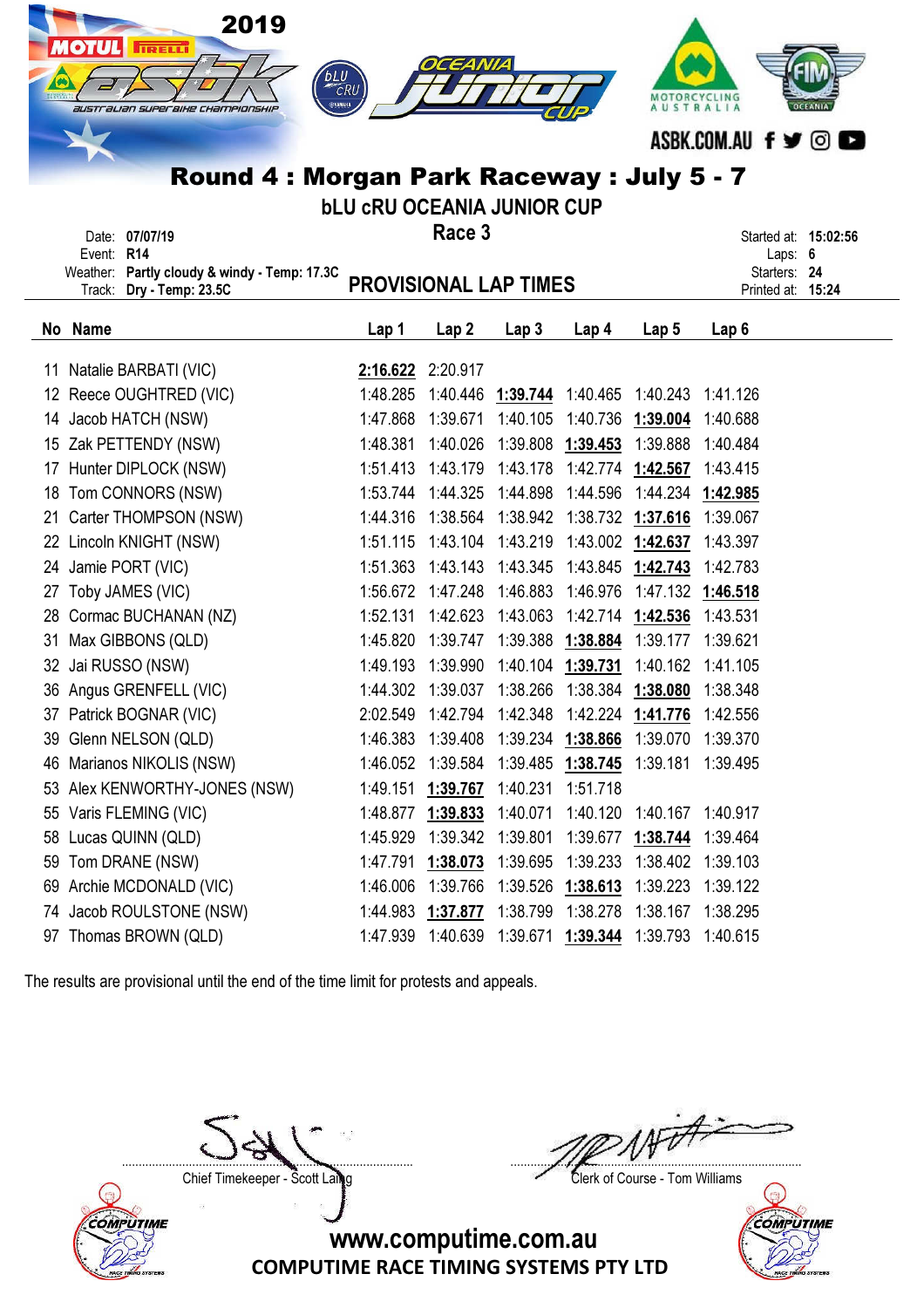|    | 2019<br><b>IOTUL</b><br><b>ITRELLI</b><br>australian superaixe championskip<br>Round 4 : Morgan Park Raceway : July 5 - 7 | <b><i>bLU</i></b><br>CRU<br><b>SYAMAHA</b><br><b>bLU CRU OCEANIA JUNIOR CUP</b> | OCEANIA              |                      |                      | MOTORCYCLING<br><b>AUSTRALIA</b> |                                   |  |
|----|---------------------------------------------------------------------------------------------------------------------------|---------------------------------------------------------------------------------|----------------------|----------------------|----------------------|----------------------------------|-----------------------------------|--|
|    | Date: 07/07/19<br>Event: R14                                                                                              |                                                                                 | Race 3               |                      |                      |                                  | Started at: 15:02:56<br>Laps: 6   |  |
|    | Weather: Partly cloudy & windy - Temp: 17.3C<br>Track: Dry - Temp: 23.5C                                                  | <b>PROVISIONAL LAP TIMES</b>                                                    |                      |                      |                      |                                  | Starters: 24<br>Printed at: 15:24 |  |
|    | No Name                                                                                                                   | Lap 1                                                                           | Lap <sub>2</sub>     | Lap <sub>3</sub>     | Lap 4                | Lap 5                            | Lap 6                             |  |
|    | 11 Natalie BARBATI (VIC)                                                                                                  |                                                                                 | 2:16.622 2:20.917    |                      |                      |                                  |                                   |  |
|    | 12 Reece OUGHTRED (VIC)                                                                                                   | 1:48.285                                                                        | 1:40.446             | 1:39.744             | 1:40.465             | 1:40.243                         | 1:41.126                          |  |
| 14 | Jacob HATCH (NSW)                                                                                                         | 1:47.868                                                                        | 1:39.671             | 1:40.105             | 1:40.736             | 1:39.004                         | 1:40.688                          |  |
|    | 15 Zak PETTENDY (NSW)                                                                                                     | 1:48.381                                                                        | 1:40.026             | 1:39.808             | 1:39.453             | 1:39.888                         | 1:40.484                          |  |
| 17 | Hunter DIPLOCK (NSW)                                                                                                      | 1:51.413                                                                        | 1:43.179             | 1:43.178             | 1:42.774             | 1:42.567                         | 1:43.415                          |  |
| 18 | Tom CONNORS (NSW)                                                                                                         | 1:53.744                                                                        | 1:44.325             | 1:44.898             | 1:44.596             | 1:44.234                         | 1:42.985                          |  |
|    | 21 Carter THOMPSON (NSW)                                                                                                  | 1:44.316                                                                        | 1:38.564             | 1:38.942             |                      | 1:38.732 1:37.616                | 1:39.067                          |  |
| 22 | Lincoln KNIGHT (NSW)                                                                                                      | 1:51.115                                                                        | 1:43.104             | 1:43.219             |                      | 1:43.002 1:42.637                | 1:43.397                          |  |
| 24 | Jamie PORT (VIC)                                                                                                          | 1:51.363                                                                        | 1:43.143             | 1:43.345             | 1:43.845             | 1:42.743                         | 1:42.783                          |  |
| 27 | Toby JAMES (VIC)                                                                                                          | 1:56.672                                                                        | 1:47.248             | 1:46.883             | 1:46.976             | 1:47.132                         | 1:46.518                          |  |
| 28 | Cormac BUCHANAN (NZ)                                                                                                      | 1:52.131                                                                        | 1:42.623             | 1:43.063             | 1:42.714             | 1:42.536                         | 1:43.531                          |  |
| 31 | Max GIBBONS (QLD)                                                                                                         | 1:45.820<br>1:49.193                                                            | 1:39.747<br>1:39.990 | 1:39.388<br>1:40.104 | 1:38.884<br>1:39.731 | 1:39.177<br>1:40.162             | 1:39.621<br>1:41.105              |  |
| 32 | Jai RUSSO (NSW)<br>36 Angus GRENFELL (VIC)                                                                                |                                                                                 | 1:44.302 1:39.037    | 1:38.266             | 1:38.384             | 1:38.080                         | 1:38.348                          |  |
| 37 | Patrick BOGNAR (VIC)                                                                                                      | 2:02.549                                                                        | 1:42.794             | 1:42.348             |                      | 1:42.224 1:41.776                | 1:42.556                          |  |
| 39 | Glenn NELSON (QLD)                                                                                                        | 1:46.383                                                                        | 1:39.408             | 1:39.234             | 1:38.866             | 1:39.070                         | 1:39.370                          |  |
| 46 | Marianos NIKOLIS (NSW)                                                                                                    | 1:46.052                                                                        | 1:39.584             | 1:39.485             | <u>1:38.745</u>      | 1:39.181                         | 1:39.495                          |  |
| 53 | Alex KENWORTHY-JONES (NSW)                                                                                                | 1:49.151                                                                        | 1:39.767             | 1:40.231             | 1:51.718             |                                  |                                   |  |
| 55 | Varis FLEMING (VIC)                                                                                                       | 1:48.877                                                                        | 1:39.833             | 1:40.071             | 1:40.120             | 1:40.167                         | 1:40.917                          |  |
| 58 | Lucas QUINN (QLD)                                                                                                         | 1:45.929                                                                        | 1:39.342             | 1:39.801             | 1:39.677             | 1:38.744                         | 1:39.464                          |  |
| 59 | Tom DRANE (NSW)                                                                                                           | 1:47.791                                                                        | 1:38.073             | 1:39.695             | 1:39.233             | 1:38.402                         | 1:39.103                          |  |
| 69 | Archie MCDONALD (VIC)                                                                                                     | 1:46.006                                                                        | 1:39.766             | 1:39.526             | 1:38.613             | 1:39.223                         | 1:39.122                          |  |
|    | 74 Jacob ROULSTONE (NSW)                                                                                                  | 1:44.983                                                                        | 1:37.877             | 1:38.799             | 1:38.278             | 1:38.167                         | 1:38.295                          |  |
|    | 97 Thomas BROWN (QLD)                                                                                                     | 1:47.939                                                                        |                      | 1:40.639 1:39.671    | <u>1:39.344</u>      | 1:39.793                         | 1:40.615                          |  |

COMPUTIME

....................................................................................... ....................................................................................... Chief Timekeeper - Scott Laing Clerk of Course - Tom Williams

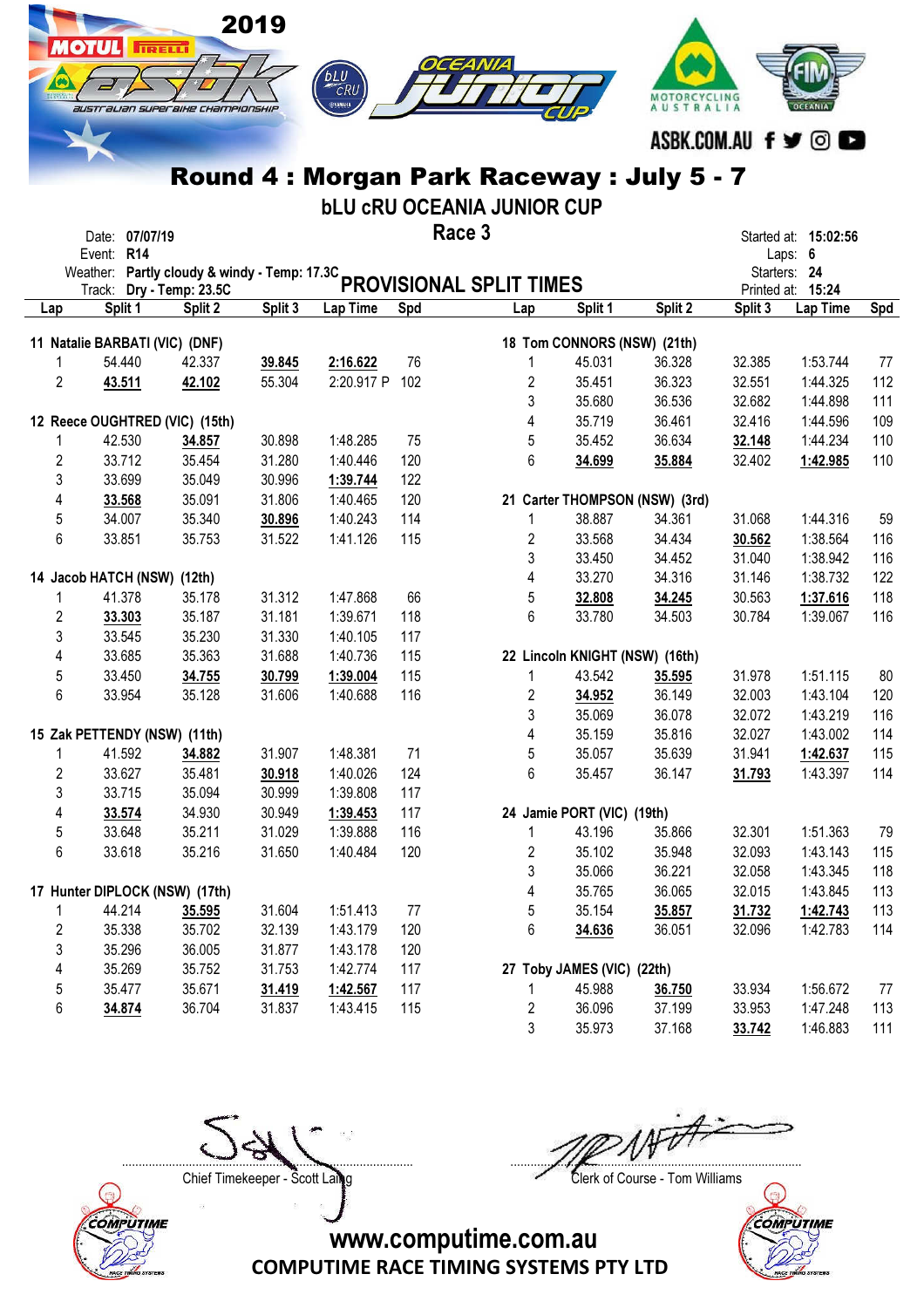|                | australian superaike championskip            | <b>TRELL</b> | 2019    | CRU<br>⊜удмана |     |                                            |                                | <b>AUSTRALIA</b>               |         |                               |     |
|----------------|----------------------------------------------|--------------|---------|----------------|-----|--------------------------------------------|--------------------------------|--------------------------------|---------|-------------------------------|-----|
|                |                                              |              |         |                |     |                                            |                                |                                |         |                               |     |
|                |                                              |              |         |                |     |                                            |                                |                                |         | ASBK.COM.AU f y © O           |     |
|                |                                              |              |         |                |     | Round 4 : Morgan Park Raceway : July 5 - 7 |                                |                                |         |                               |     |
|                |                                              |              |         |                |     | <b>bLU CRU OCEANIA JUNIOR CUP</b>          |                                |                                |         |                               |     |
|                | Date: 07/07/19                               |              |         |                |     | Race 3                                     |                                |                                |         | Started at: 15:02:56          |     |
|                | Event: R14                                   |              |         |                |     |                                            |                                |                                |         | Laps: 6                       |     |
|                | Weather: Partly cloudy & windy - Temp: 17.3C |              |         |                |     | <b>PROVISIONAL SPLIT TIMES</b>             |                                |                                |         | Starters: 24                  |     |
| Lap            | Track: Dry - Temp: 23.5C<br>Split 1          | Split 2      | Split 3 | Lap Time       | Spd | Lap                                        | Split 1                        | Split 2                        | Split 3 | Printed at: 15:24<br>Lap Time | Spd |
|                |                                              |              |         |                |     |                                            |                                |                                |         |                               |     |
|                | 11 Natalie BARBATI (VIC) (DNF)               |              |         |                |     |                                            | 18 Tom CONNORS (NSW) (21th)    |                                |         |                               |     |
| 1              | 54.440                                       | 42.337       | 39.845  | 2:16.622       | 76  |                                            | 45.031                         | 36.328                         | 32.385  | 1:53.744                      | 77  |
| 2              | 43.511                                       | 42.102       | 55.304  | 2:20.917 P     | 102 | 2                                          | 35.451                         | 36.323                         | 32.551  | 1:44.325                      | 112 |
|                |                                              |              |         |                |     | 3                                          | 35.680                         | 36.536                         | 32.682  | 1:44.898                      | 111 |
|                | 12 Reece OUGHTRED (VIC) (15th)               |              |         |                |     | 4                                          | 35.719                         | 36.461                         | 32.416  | 1:44.596                      | 109 |
| 1              | 42.530                                       | 34.857       | 30.898  | 1:48.285       | 75  | 5                                          | 35.452                         | 36.634                         | 32.148  | 1:44.234                      | 110 |
| $\overline{c}$ | 33.712                                       | 35.454       | 31.280  | 1:40.446       | 120 | 6                                          | 34.699                         | 35.884                         | 32.402  | 1:42.985                      | 110 |
| 3              | 33.699                                       | 35.049       | 30.996  | 1:39.744       | 122 |                                            |                                |                                |         |                               |     |
| 4              | 33.568                                       | 35.091       | 31.806  | 1:40.465       | 120 |                                            |                                | 21 Carter THOMPSON (NSW) (3rd) |         |                               |     |
| 5              | 34.007                                       | 35.340       | 30.896  | 1:40.243       | 114 | 1                                          | 38.887                         | 34.361                         | 31.068  | 1:44.316                      | 59  |
| 6              | 33.851                                       | 35.753       | 31.522  | 1:41.126       | 115 | 2                                          | 33.568                         | 34.434                         | 30.562  | 1:38.564                      | 116 |
|                |                                              |              |         |                |     | 3                                          | 33.450                         | 34.452                         | 31.040  | 1:38.942                      | 116 |
|                | 14 Jacob HATCH (NSW) (12th)                  |              |         |                |     | 4                                          | 33.270                         | 34.316                         | 31.146  | 1:38.732                      | 122 |
| 1              | 41.378                                       | 35.178       | 31.312  | 1:47.868       | 66  | 5                                          | 32.808                         | 34.245                         | 30.563  | 1:37.616                      | 118 |
| 2              | 33.303                                       | 35.187       | 31.181  | 1:39.671       | 118 | 6                                          | 33.780                         | 34.503                         | 30.784  | 1:39.067                      | 116 |
| 3              | 33.545                                       | 35.230       | 31.330  | 1:40.105       | 117 |                                            |                                |                                |         |                               |     |
| 4              | 33.685                                       | 35.363       | 31.688  | 1:40.736       | 115 |                                            | 22 Lincoln KNIGHT (NSW) (16th) |                                |         |                               |     |
| 5              | 33.450                                       | 34.755       | 30.799  | 1:39.004       | 115 | 1                                          | 43.542                         | 35.595                         | 31.978  | 1:51.115                      | 80  |
| 6              | 33.954                                       | 35.128       | 31.606  | 1:40.688       | 116 | 2                                          | 34.952                         | 36.149                         | 32.003  | 1:43.104                      | 120 |
|                |                                              |              |         |                |     | 3                                          | 35.069                         | 36.078                         | 32.072  | 1:43.219                      | 116 |
|                | 15 Zak PETTENDY (NSW) (11th)                 |              |         |                |     | 4                                          | 35.159                         | 35.816                         | 32.027  | 1:43.002                      | 114 |
| 1              | 41.592                                       | 34.882       | 31.907  | 1:48.381       | 71  | 5                                          | 35.057                         | 35.639                         | 31.941  | 1:42.637                      | 115 |
| $\overline{2}$ | 33.627                                       | 35.481       | 30.918  | 1:40.026       | 124 | 6                                          | 35.457                         | 36.147                         | 31.793  | 1:43.397                      | 114 |
| 3              | 33.715                                       | 35.094       | 30.999  | 1:39.808       | 117 |                                            |                                |                                |         |                               |     |
| 4              | 33.574                                       | 34.930       | 30.949  | 1:39.453       | 117 |                                            | 24 Jamie PORT (VIC) (19th)     |                                |         |                               |     |
| 5              | 33.648                                       | 35.211       | 31.029  | 1:39.888       | 116 | 1                                          | 43.196                         | 35.866                         | 32.301  | 1:51.363                      | 79  |
| 6              | 33.618                                       | 35.216       | 31.650  | 1:40.484       | 120 | 2                                          | 35.102                         | 35.948                         | 32.093  | 1:43.143                      | 115 |
|                |                                              |              |         |                |     | 3                                          | 35.066                         | 36.221                         | 32.058  | 1:43.345                      | 118 |
|                | 17 Hunter DIPLOCK (NSW) (17th)               |              |         |                |     | 4                                          | 35.765                         | 36.065                         | 32.015  | 1:43.845                      | 113 |
| 1              | 44.214                                       | 35.595       | 31.604  | 1:51.413       | 77  | 5                                          | 35.154                         | 35.857                         | 31.732  | 1:42.743                      | 113 |
| $\overline{c}$ | 35.338                                       | 35.702       | 32.139  | 1:43.179       | 120 | 6                                          | 34.636                         | 36.051                         | 32.096  | 1:42.783                      | 114 |
| 3              | 35.296                                       | 36.005       | 31.877  | 1:43.178       | 120 |                                            |                                |                                |         |                               |     |

4 35.269 35.752 31.753 1:42.774 117 27 Toby JAMES (VIC) (22th)

| -----  | ------ | .      | .            | . |        |        |        |          |       |
|--------|--------|--------|--------------|---|--------|--------|--------|----------|-------|
| 35.477 | 35.671 | 31.419 | 1:42.567 117 |   | 45.988 | 36.750 | 33.934 | 1:56.672 | 77    |
| 34.874 | 36.704 | 31.837 | 1:43.415 115 |   | 36,096 | 37.199 | 33.953 | 1:47.248 | 113   |
|        |        |        |              |   | 35,973 | 37.168 | 33.742 | 1:46.883 | - 111 |

....................................................................................... .......................................................................................

COMPUTIME RACE TIMING SYSTEMS PTY LTD www.computime.com.au





Chief Timekeeper - Scott Laing Clerk of Course - Tom Williams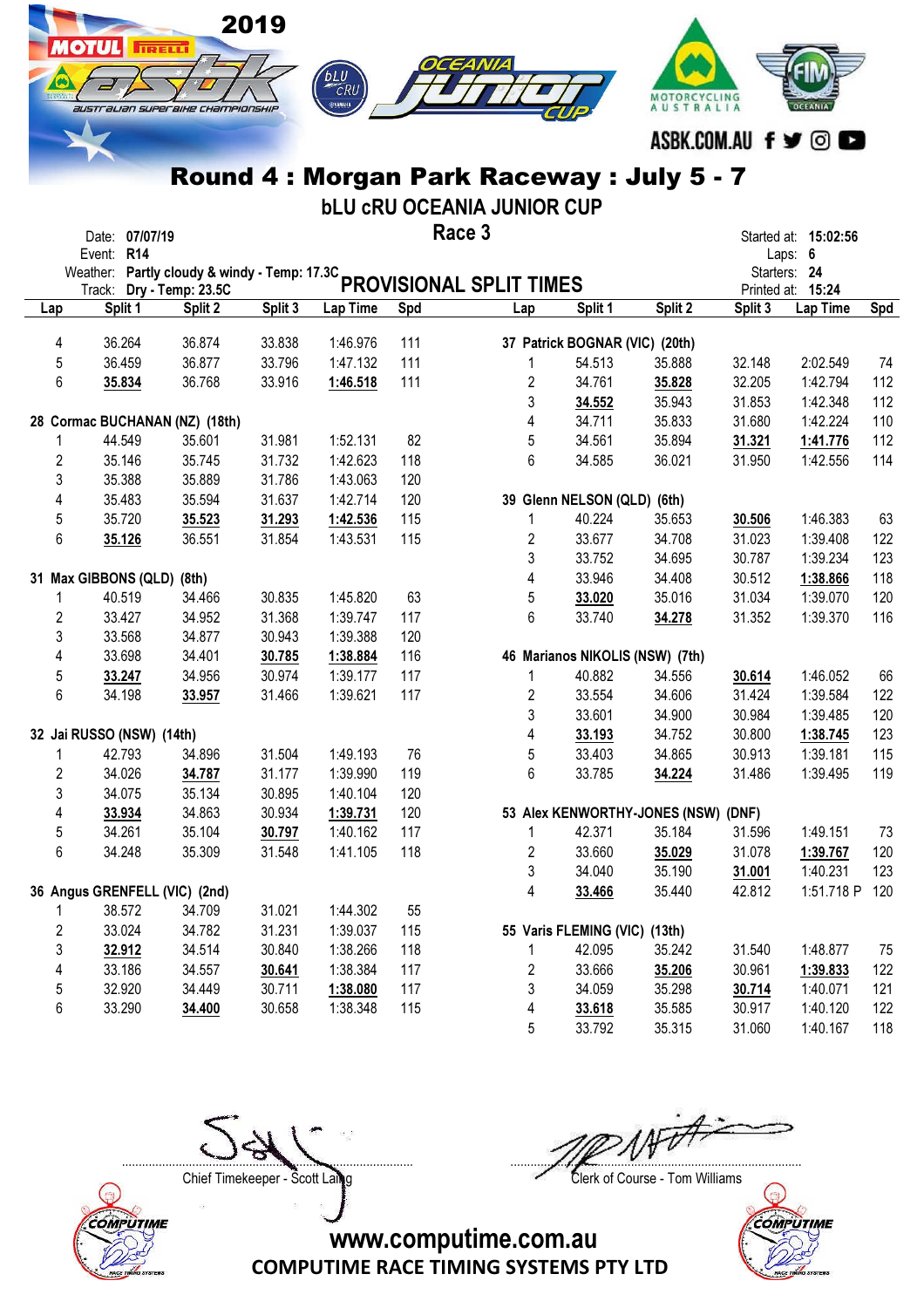

bLU cRU OCEANIA JUNIOR CUP

|                         | Date: 07/07/19                                             |                   |         |          | Race 3 |                         |                                 |                                     |         | Started at: 15:02:56              |     |
|-------------------------|------------------------------------------------------------|-------------------|---------|----------|--------|-------------------------|---------------------------------|-------------------------------------|---------|-----------------------------------|-----|
|                         | Event: R14<br>Weather: Partly cloudy & windy - Temp: 17.3C |                   |         |          |        |                         |                                 |                                     |         | Laps: 6                           |     |
|                         | Track:                                                     | Dry - Temp: 23.5C |         |          |        | PROVISIONAL SPLIT TIMES |                                 |                                     |         | Starters: 24<br>Printed at: 15:24 |     |
| Lap                     | Split 1                                                    | Split 2           | Split 3 | Lap Time | Spd    | Lap                     | Split 1                         | Split 2                             | Split 3 | Lap Time                          | Spd |
| 4                       | 36.264                                                     | 36.874            | 33.838  | 1:46.976 | 111    |                         | 37 Patrick BOGNAR (VIC) (20th)  |                                     |         |                                   |     |
| 5                       | 36.459                                                     | 36.877            | 33.796  | 1:47.132 | 111    | $\mathbf{1}$            | 54.513                          | 35.888                              | 32.148  | 2:02.549                          | 74  |
| 6                       | 35.834                                                     | 36.768            | 33.916  | 1:46.518 | 111    | $\overline{2}$          | 34.761                          | 35.828                              | 32.205  | 1:42.794                          | 112 |
|                         |                                                            |                   |         |          |        | 3                       | 34.552                          | 35.943                              | 31.853  | 1:42.348                          | 112 |
|                         | 28 Cormac BUCHANAN (NZ) (18th)                             |                   |         |          |        | 4                       | 34.711                          | 35.833                              | 31.680  | 1:42.224                          | 110 |
| 1                       | 44.549                                                     | 35.601            | 31.981  | 1:52.131 | 82     | 5                       | 34.561                          | 35.894                              | 31.321  | 1:41.776                          | 112 |
| $\overline{2}$          | 35.146                                                     | 35.745            | 31.732  | 1:42.623 | 118    | 6                       | 34.585                          | 36.021                              | 31.950  | 1:42.556                          | 114 |
| 3                       | 35.388                                                     | 35.889            | 31.786  | 1:43.063 | 120    |                         |                                 |                                     |         |                                   |     |
| 4                       | 35.483                                                     | 35.594            | 31.637  | 1:42.714 | 120    |                         | 39 Glenn NELSON (QLD) (6th)     |                                     |         |                                   |     |
| 5                       | 35.720                                                     | 35.523            | 31.293  | 1:42.536 | 115    | 1                       | 40.224                          | 35.653                              | 30.506  | 1:46.383                          | 63  |
| 6                       | 35.126                                                     | 36.551            | 31.854  | 1:43.531 | 115    | $\overline{2}$          | 33.677                          | 34.708                              | 31.023  | 1:39.408                          | 122 |
|                         |                                                            |                   |         |          |        | 3                       | 33.752                          | 34.695                              | 30.787  | 1:39.234                          | 123 |
|                         | 31 Max GIBBONS (QLD) (8th)                                 |                   |         |          |        | 4                       | 33.946                          | 34.408                              | 30.512  | 1:38.866                          | 118 |
| 1                       | 40.519                                                     | 34.466            | 30.835  | 1:45.820 | 63     | 5                       | 33.020                          | 35.016                              | 31.034  | 1:39.070                          | 120 |
| $\sqrt{2}$              | 33.427                                                     | 34.952            | 31.368  | 1:39.747 | 117    | 6                       | 33.740                          | 34.278                              | 31.352  | 1:39.370                          | 116 |
| 3                       | 33.568                                                     | 34.877            | 30.943  | 1:39.388 | 120    |                         |                                 |                                     |         |                                   |     |
| $\overline{\mathbf{4}}$ | 33.698                                                     | 34.401            | 30.785  | 1:38.884 | 116    |                         | 46 Marianos NIKOLIS (NSW) (7th) |                                     |         |                                   |     |
| 5                       | 33.247                                                     | 34.956            | 30.974  | 1:39.177 | 117    | $\mathbf{1}$            | 40.882                          | 34.556                              | 30.614  | 1:46.052                          | 66  |
| 6                       | 34.198                                                     | 33.957            | 31.466  | 1:39.621 | 117    | $\overline{2}$          | 33.554                          | 34.606                              | 31.424  | 1:39.584                          | 122 |
|                         |                                                            |                   |         |          |        | 3                       | 33.601                          | 34.900                              | 30.984  | 1:39.485                          | 120 |
|                         | 32 Jai RUSSO (NSW) (14th)                                  |                   |         |          |        | 4                       | 33.193                          | 34.752                              | 30.800  | 1:38.745                          | 123 |
| 1                       | 42.793                                                     | 34.896            | 31.504  | 1:49.193 | 76     | 5                       | 33.403                          | 34.865                              | 30.913  | 1:39.181                          | 115 |
| $\sqrt{2}$              | 34.026                                                     | 34.787            | 31.177  | 1:39.990 | 119    | 6                       | 33.785                          | 34.224                              | 31.486  | 1:39.495                          | 119 |
| 3                       | 34.075                                                     | 35.134            | 30.895  | 1:40.104 | 120    |                         |                                 |                                     |         |                                   |     |
| 4                       | 33.934                                                     | 34.863            | 30.934  | 1:39.731 | 120    |                         |                                 | 53 Alex KENWORTHY-JONES (NSW) (DNF) |         |                                   |     |
| 5                       | 34.261                                                     | 35.104            | 30.797  | 1:40.162 | 117    | $\mathbf{1}$            | 42.371                          | 35.184                              | 31.596  | 1:49.151                          | 73  |
| 6                       | 34.248                                                     | 35.309            | 31.548  | 1:41.105 | 118    | $\overline{2}$          | 33.660                          | 35.029                              | 31.078  | 1:39.767                          | 120 |
|                         |                                                            |                   |         |          |        | 3                       | 34.040                          | 35.190                              | 31.001  | 1:40.231                          | 123 |
|                         | 36 Angus GRENFELL (VIC) (2nd)                              |                   |         |          |        | 4                       | 33.466                          | 35.440                              | 42.812  | 1:51.718 P                        | 120 |
| 1                       | 38.572                                                     | 34.709            | 31.021  | 1:44.302 | 55     |                         |                                 |                                     |         |                                   |     |
| $\overline{2}$          | 33.024                                                     | 34.782            | 31.231  | 1:39.037 | 115    |                         | 55 Varis FLEMING (VIC)          | (13th)                              |         |                                   |     |
| 3                       | 32.912                                                     | 34.514            | 30.840  | 1:38.266 | 118    | $\mathbf{1}$            | 42.095                          | 35.242                              | 31.540  | 1:48.877                          | 75  |
| 4                       | 33.186                                                     | 34.557            | 30.641  | 1:38.384 | 117    | $\overline{2}$          | 33.666                          | 35.206                              | 30.961  | 1:39.833                          | 122 |
| 5                       | 32.920                                                     | 34.449            | 30.711  | 1:38.080 | 117    | 3                       | 34.059                          | 35.298                              | 30.714  | 1:40.071                          | 121 |
| 6                       | 33.290                                                     | 34.400            | 30.658  | 1:38.348 | 115    | 4                       | 33.618                          | 35.585                              | 30.917  | 1:40.120                          | 122 |
|                         |                                                            |                   |         |          |        | 5                       | 33.792                          | 35.315                              | 31.060  | 1:40.167                          | 118 |



....................................................................................... .......................................................................................

Chief Timekeeper - Scott Laing Chief Timekeeper - Scott Laing

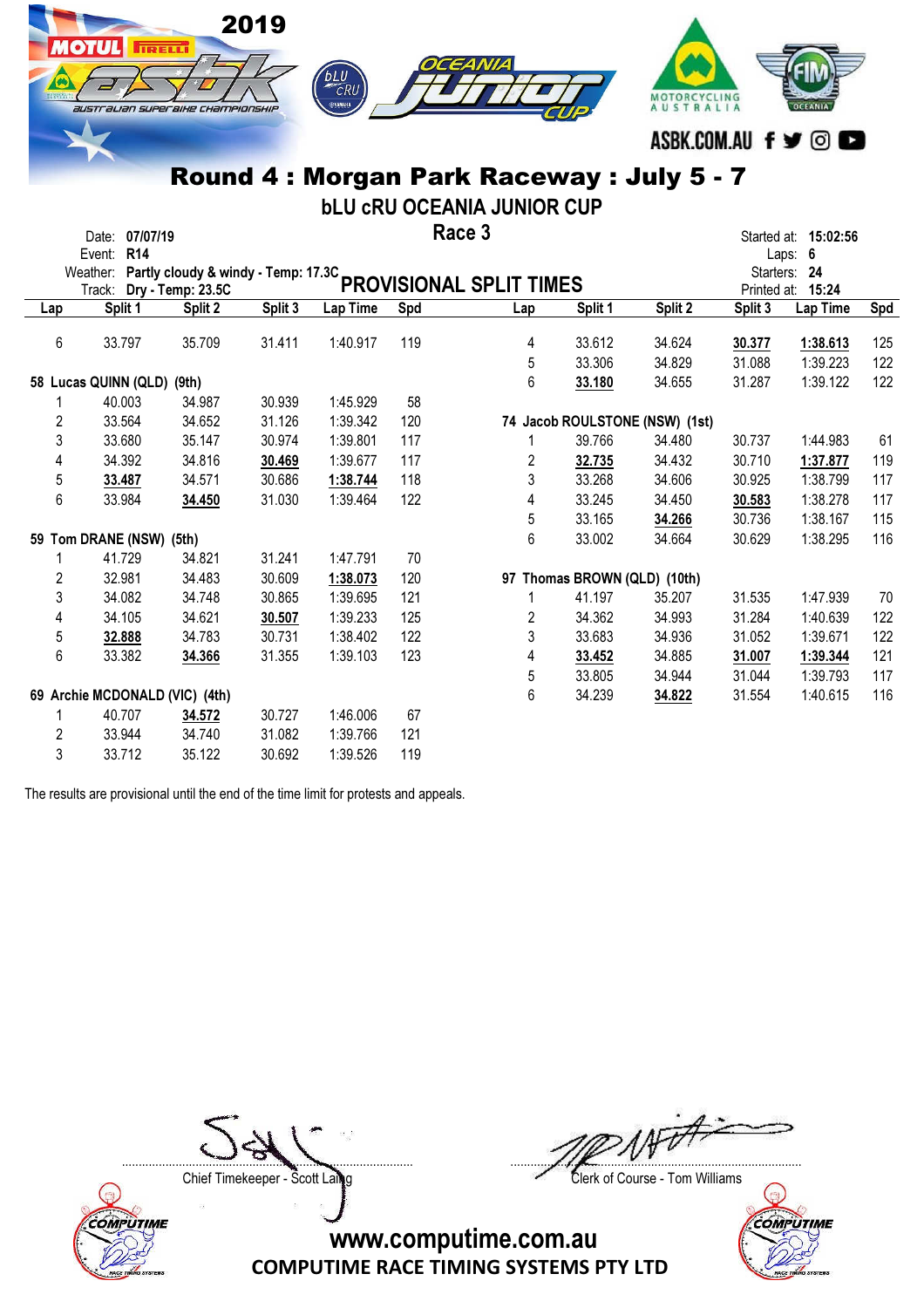

bLU cRU OCEANIA JUNIOR CUP

|     | Date:                | 07/07/19                            |         |         |          |     | Race 3                  |         |                                |              | Started at: 15:02:56 |     |
|-----|----------------------|-------------------------------------|---------|---------|----------|-----|-------------------------|---------|--------------------------------|--------------|----------------------|-----|
|     | Event:               | R <sub>14</sub>                     |         |         |          |     |                         |         |                                |              | Laps: 6              |     |
|     | Weather:             | Partly cloudy & windy - Temp: 17.3C |         |         |          |     | PROVISIONAL SPLIT TIMES |         |                                | Starters: 24 |                      |     |
|     | Track:               | Dry - Temp: 23.5C                   |         |         |          |     |                         |         |                                |              | Printed at: 15:24    |     |
| Lap | Split 1              |                                     | Split 2 | Split 3 | Lap Time | Spd | Lap                     | Split 1 | Split 2                        | Split 3      | Lap Time             | Spd |
| 6   | 33.797               |                                     | 35.709  | 31.411  | 1:40.917 | 119 | 4                       | 33.612  | 34.624                         | 30.377       | 1:38.613             | 125 |
|     |                      |                                     |         |         |          |     | 5                       | 33.306  | 34.829                         | 31.088       | 1:39.223             | 122 |
|     | 58 Lucas QUINN (QLD) | (9th)                               |         |         |          |     | 6                       | 33.180  | 34.655                         | 31.287       | 1:39.122             | 122 |
|     | 40.003               |                                     | 34.987  | 30.939  | 1:45.929 | 58  |                         |         |                                |              |                      |     |
| 2   | 33.564               |                                     | 34.652  | 31.126  | 1:39.342 | 120 |                         |         | 74 Jacob ROULSTONE (NSW) (1st) |              |                      |     |
| 3   | 33.680               |                                     | 35.147  | 30.974  | 1:39.801 | 117 |                         | 39.766  | 34.480                         | 30.737       | 1:44.983             | 61  |
| 4   | 34.392               |                                     | 34.816  | 30.469  | 1:39.677 | 117 | 2                       | 32.735  | 34.432                         | 30.710       | 1:37.877             | 119 |
| 5   | 33.487               |                                     | 34.571  | 30.686  | 1:38.744 | 118 | 3                       | 33.268  | 34.606                         | 30.925       | 1:38.799             | 117 |
| 6   | 33.984               |                                     | 34.450  | 31.030  | 1:39.464 | 122 | 4                       | 33.245  | 34.450                         | 30.583       | 1:38.278             | 117 |
|     |                      |                                     |         |         |          |     | 5                       | 33.165  | 34.266                         | 30.736       | 1:38.167             | 115 |
|     |                      | 59 Tom DRANE (NSW) (5th)            |         |         |          |     | 6                       | 33.002  | 34.664                         | 30.629       | 1:38.295             | 116 |
|     | 41.729               |                                     | 34.821  | 31.241  | 1:47.791 | 70  |                         |         |                                |              |                      |     |
| 2   | 32.981               |                                     | 34.483  | 30.609  | 1:38.073 | 120 |                         |         | 97 Thomas BROWN (QLD) (10th)   |              |                      |     |
| 3   | 34.082               |                                     | 34.748  | 30.865  | 1:39.695 | 121 | 1                       | 41.197  | 35.207                         | 31.535       | 1:47.939             | 70  |
| 4   | 34.105               |                                     | 34.621  | 30.507  | 1:39.233 | 125 | 2                       | 34.362  | 34.993                         | 31.284       | 1:40.639             | 122 |
| 5   | 32.888               |                                     | 34.783  | 30.731  | 1:38.402 | 122 | 3                       | 33.683  | 34.936                         | 31.052       | 1:39.671             | 122 |
| 6   | 33.382               |                                     | 34.366  | 31.355  | 1:39.103 | 123 | 4                       | 33.452  | 34.885                         | 31.007       | 1:39.344             | 121 |
|     |                      |                                     |         |         |          |     | 5                       | 33.805  | 34.944                         | 31.044       | 1:39.793             | 117 |
|     |                      | 69 Archie MCDONALD (VIC) (4th)      |         |         |          |     | 6                       | 34.239  | 34.822                         | 31.554       | 1:40.615             | 116 |
|     | 40.707               |                                     | 34.572  | 30.727  | 1:46.006 | 67  |                         |         |                                |              |                      |     |
| 2   | 33.944               |                                     | 34.740  | 31.082  | 1:39.766 | 121 |                         |         |                                |              |                      |     |
| 3   | 33.712               |                                     | 35.122  | 30.692  | 1:39.526 | 119 |                         |         |                                |              |                      |     |

The results are provisional until the end of the time limit for protests and appeals.

Chief Timekeeper - Scott Laing Clerk of Course - Tom Williams



....................................................................................... .......................................................................................

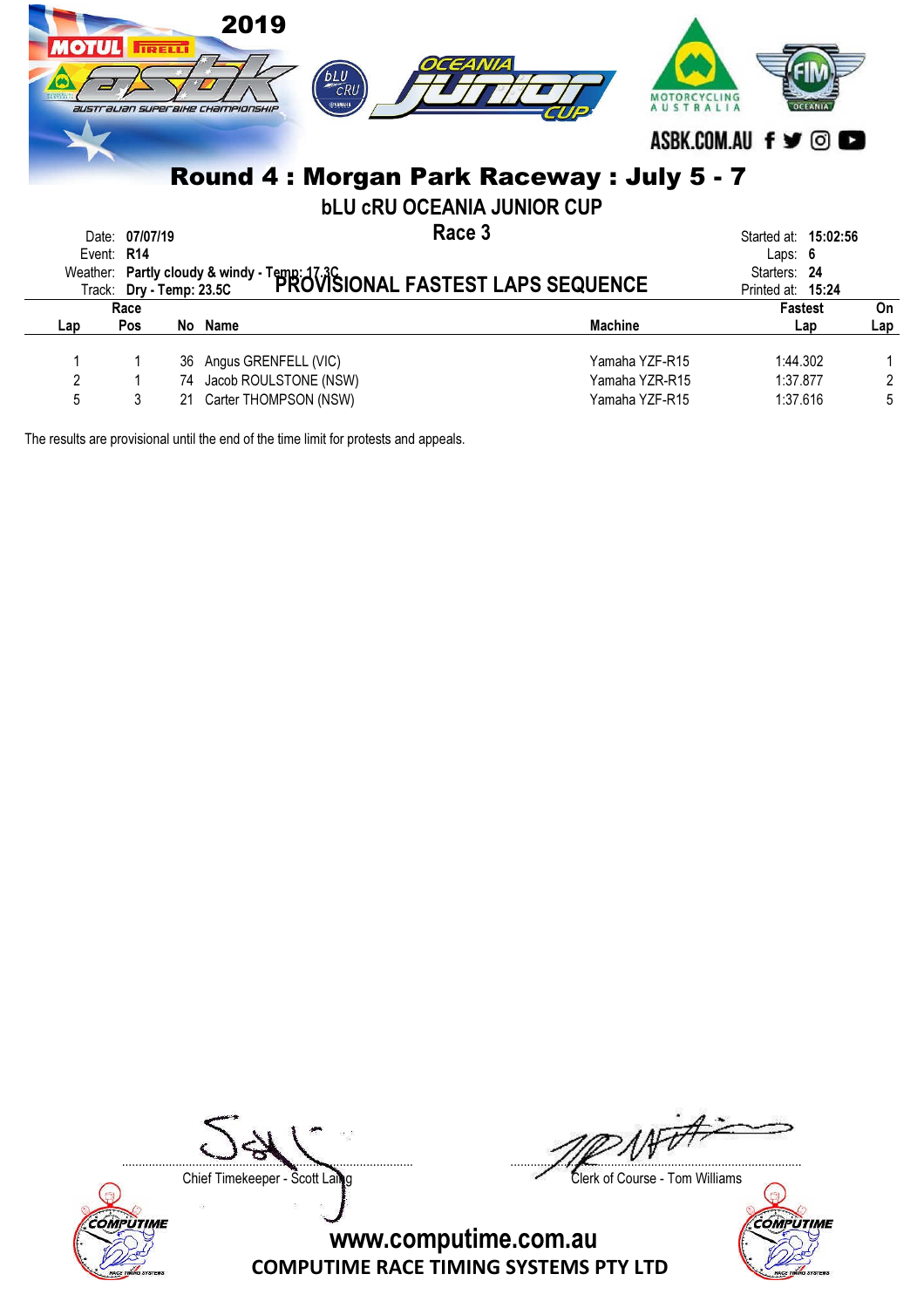| <b>MOTULI</b> |                | <b>TRELLI</b> | 2019<br>$\overline{c}$ RU<br>ФУАМАНА<br><b>australian superaixe Championship</b> | OCEANIA<br>Round 4 : Morgan Park Raceway : July 5 - 7                                                      | ASBK.COM.AU f y © |                      |     |
|---------------|----------------|---------------|----------------------------------------------------------------------------------|------------------------------------------------------------------------------------------------------------|-------------------|----------------------|-----|
|               |                |               |                                                                                  | <b>bLU CRU OCEANIA JUNIOR CUP</b>                                                                          |                   |                      |     |
|               | Date: 07/07/19 |               |                                                                                  | Race 3                                                                                                     |                   | Started at: 15:02:56 |     |
|               | Event: R14     |               |                                                                                  |                                                                                                            |                   | Laps: $6$            |     |
|               |                |               |                                                                                  | Weather: Partly cloudy & windy - Temp: 17.3C<br>Trock: Dry - Temp: 23.5C PROVISIONAL FASTEST LAPS SEQUENCE |                   | Starters: 24         |     |
|               |                |               |                                                                                  |                                                                                                            |                   | Printed at: 15:24    |     |
|               | Race           |               |                                                                                  |                                                                                                            |                   | <b>Fastest</b>       | On  |
| Lap           | <b>Pos</b>     | No Name       |                                                                                  | <b>Machine</b>                                                                                             |                   | Lap                  | Lap |
|               |                |               |                                                                                  |                                                                                                            |                   |                      |     |
|               |                | 36            | Angus GRENFELL (VIC)                                                             |                                                                                                            | Yamaha YZF-R15    | 1:44.302             |     |
| 2             |                | 74            | Jacob ROULSTONE (NSW)                                                            |                                                                                                            | Yamaha YZR-R15    | 1:37.877             | 2   |
| 5             | 3              | 21            | Carter THOMPSON (NSW)                                                            |                                                                                                            | Yamaha YZF-R15    | 1:37.616             | 5   |
|               |                |               |                                                                                  |                                                                                                            |                   |                      |     |

**COMPUTIME** 

....................................................................................... .......................................................................................

Chief Timekeeper - Scott Laing

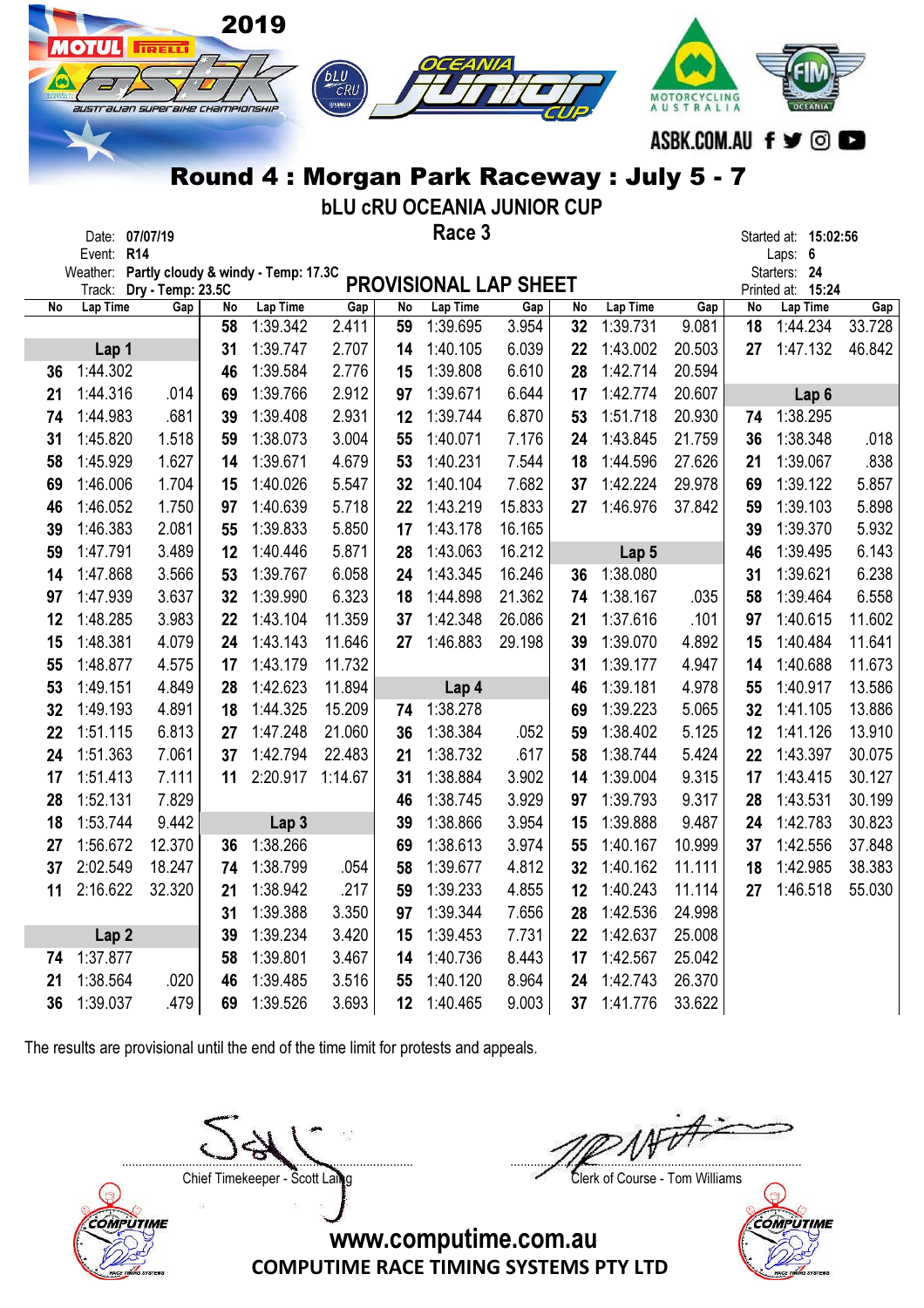|          |                                              |                          |          | 2019                 |                          |                 |                                          |        |          |                      |                           |                 |                               |                       |
|----------|----------------------------------------------|--------------------------|----------|----------------------|--------------------------|-----------------|------------------------------------------|--------|----------|----------------------|---------------------------|-----------------|-------------------------------|-----------------------|
|          | <b>AOTUL</b>                                 | <b>IRELLI</b>            |          |                      |                          |                 |                                          |        |          |                      |                           |                 |                               |                       |
|          |                                              |                          |          |                      | <b><i>BLU</i></b><br>CRU |                 |                                          |        |          |                      |                           |                 |                               |                       |
|          | australian superaixe championskip            |                          |          |                      | ⊜улмана                  |                 |                                          |        |          |                      | MOTORCYCLING<br>AUSTRALIA |                 |                               |                       |
|          |                                              |                          |          |                      |                          |                 |                                          |        |          |                      |                           |                 |                               |                       |
|          |                                              |                          |          |                      |                          |                 |                                          |        |          |                      | ASBK.COM.AU               |                 | f<br>o)                       | $\blacktriangleright$ |
|          |                                              |                          |          |                      |                          |                 | Round 4: Morgan Park Raceway: July 5 - 7 |        |          |                      |                           |                 |                               |                       |
|          |                                              |                          |          |                      |                          |                 | <b>bLU CRU OCEANIA JUNIOR CUP</b>        |        |          |                      |                           |                 |                               |                       |
|          | Date:                                        | 07/07/19                 |          |                      |                          |                 | Race 3                                   |        |          |                      |                           |                 | Started at: 15:02:56          |                       |
|          | Event: R14                                   |                          |          |                      |                          |                 |                                          |        |          |                      |                           |                 | Laps: 6                       |                       |
|          | Weather: Partly cloudy & windy - Temp: 17.3C |                          |          |                      |                          |                 | <b>PROVISIONAL LAP SHEET</b>             |        |          |                      |                           |                 | Starters: 24                  |                       |
| No       | Track:<br>Lap Time                           | Dry - Temp: 23.5C<br>Gap | No       | Lap Time             | Gap                      | No              | Lap Time                                 | Gap    | No       | Lap Time             | Gap                       | No              | Printed at: 15:24<br>Lap Time | Gap                   |
|          |                                              |                          | 58       | 1:39.342             | 2.411                    | 59              | 1:39.695                                 | 3.954  | 32       | 1:39.731             | 9.081                     | 18              | 1:44.234                      | 33.728                |
|          | Lap 1                                        |                          | 31       | 1:39.747             | 2.707                    | 14              | 1:40.105                                 | 6.039  | 22       | 1:43.002             | 20.503                    | 27              | 1:47.132                      | 46.842                |
| 36       | 1:44.302                                     |                          | 46       | 1:39.584             | 2.776                    | 15              | 1:39.808                                 | 6.610  | 28       | 1:42.714             | 20.594                    |                 |                               |                       |
| 21       | 1:44.316                                     | .014                     | 69       | 1:39.766             | 2.912                    | 97              | 1:39.671                                 | 6.644  | 17       | 1:42.774             | 20.607                    |                 | Lap <sub>6</sub>              |                       |
| 74       | 1:44.983                                     | .681                     | 39       | 1:39.408             | 2.931                    | 12              | 1:39.744                                 | 6.870  | 53       | 1:51.718             | 20.930                    | 74              | 1:38.295                      |                       |
| 31       | 1:45.820                                     | 1.518                    | 59       | 1:38.073             | 3.004                    | 55              | 1:40.071                                 | 7.176  | 24       | 1:43.845             | 21.759                    | 36              | 1:38.348                      | .018                  |
| 58       | 1:45.929                                     | 1.627                    | 14       | 1:39.671             | 4.679                    | 53              | 1:40.231                                 | 7.544  | 18       | 1:44.596             | 27.626                    | 21              | 1:39.067                      | .838                  |
| 69       | 1:46.006                                     | 1.704                    | 15       | 1:40.026             | 5.547                    | 32              | 1:40.104                                 | 7.682  | 37       | 1:42.224             | 29.978                    | 69              | 1:39.122                      | 5.857                 |
| 46       | 1:46.052                                     | 1.750                    | 97       | 1:40.639             | 5.718                    | 22              | 1:43.219                                 | 15.833 | 27       | 1:46.976             | 37.842                    | 59              | 1:39.103                      | 5.898                 |
| 39       | 1:46.383                                     | 2.081                    | 55       | 1:39.833             | 5.850                    | 17              | 1:43.178                                 | 16.165 |          |                      |                           | 39              | 1:39.370                      | 5.932                 |
| 59       | 1:47.791                                     | 3.489                    | 12       | 1:40.446             | 5.871                    | 28              | 1:43.063                                 | 16.212 |          | Lap 5                |                           | 46              | 1:39.495                      | 6.143                 |
| 14       | 1:47.868                                     | 3.566                    | 53       | 1:39.767             | 6.058                    | 24              | 1:43.345                                 | 16.246 | 36       | 1:38.080             |                           | 31              | 1:39.621                      | 6.238                 |
| 97       | 1:47.939                                     | 3.637                    | 32       | 1:39.990             | 6.323                    | 18              | 1:44.898                                 | 21.362 | 74       | 1:38.167             | .035                      | 58              | 1:39.464                      | 6.558                 |
| 12       | 1:48.285                                     | 3.983                    | 22       | 1:43.104             | 11.359                   | 37              | 1:42.348                                 | 26.086 | 21       | 1:37.616             | .101                      | 97              | 1:40.615                      | 11.602                |
| 15       | 1:48.381                                     | 4.079                    | 24       | 1:43.143             | 11.646                   | 27              | 1:46.883                                 | 29.198 | 39       | 1:39.070             | 4.892                     | 15              | 1:40.484                      | 11.641                |
| 55       | 1:48.877                                     | 4.575                    | 17       | 1:43.179<br>1:42.623 | 11.732                   |                 |                                          |        | 31       | 1:39.177             | 4.947                     | 14              | 1:40.688<br>1:40.917          | 11.673                |
| 53       | 1:49.151                                     | 4.849                    | 28       |                      | 11.894<br>15.209         |                 | Lap 4                                    |        | 46       | 1:39.181             | 4.978<br>5.065            | 55              | 32 1:41.105                   | 13.586                |
| 32<br>22 | 1:49.193<br>1:51.115                         | 4.891<br>6.813           | 18       | 1:44.325<br>1:47.248 | 21.060                   | 36              | 74 1:38.278<br>1:38.384                  | .052   | 69       | 1:39.223<br>1:38.402 | 5.125                     | 12 <sub>2</sub> | 1:41.126                      | 13.886<br>13.910      |
| 24       | 1:51.363                                     | 7.061                    | 27<br>37 | 1:42.794             | 22.483                   | 21              | 1:38.732                                 | .617   | 59<br>58 | 1:38.744             | 5.424                     | 22              | 1:43.397                      | 30.075                |
| 17       | 1:51.413                                     | 7.111                    | 11       | 2:20.917             | 1:14.67                  | 31              | 1:38.884                                 | 3.902  | 14       | 1:39.004             | 9.315                     | 17              | 1:43.415                      | 30.127                |
| 28       | 1:52.131                                     | 7.829                    |          |                      |                          | 46              | 1:38.745                                 | 3.929  | 97       | 1:39.793             | 9.317                     | 28              | 1:43.531                      | 30.199                |
| 18       | 1:53.744                                     | 9.442                    |          | Lap <sub>3</sub>     |                          | 39              | 1:38.866                                 | 3.954  | 15       | 1:39.888             | 9.487                     | 24              | 1:42.783                      | 30.823                |
| 27       | 1:56.672                                     | 12.370                   | 36       | 1:38.266             |                          | 69              | 1:38.613                                 | 3.974  | 55       | 1:40.167             | 10.999                    | 37              | 1:42.556                      | 37.848                |
| 37       | 2:02.549                                     | 18.247                   | 74       | 1:38.799             | .054                     | 58              | 1:39.677                                 | 4.812  | 32       | 1:40.162             | 11.111                    | 18              | 1:42.985                      | 38.383                |
| 11       | 2:16.622                                     | 32.320                   | 21       | 1:38.942             | .217                     | 59              | 1:39.233                                 | 4.855  | 12       | 1:40.243             | 11.114                    | 27              | 1:46.518                      | 55.030                |
|          |                                              |                          | 31       | 1:39.388             | 3.350                    | 97              | 1:39.344                                 | 7.656  | 28       | 1:42.536             | 24.998                    |                 |                               |                       |
|          | Lap <sub>2</sub>                             |                          | 39       | 1:39.234             | 3.420                    | 15              | 1:39.453                                 | 7.731  | 22       | 1:42.637             | 25.008                    |                 |                               |                       |
|          | 74 1:37.877                                  |                          | 58       | 1:39.801             | 3.467                    | 14              | 1:40.736                                 | 8.443  | 17       | 1:42.567             | 25.042                    |                 |                               |                       |
| 21       | 1:38.564                                     | .020                     | 46       | 1:39.485             | 3.516                    | 55              | 1:40.120                                 | 8.964  | 24       | 1:42.743             | 26.370                    |                 |                               |                       |
| 36       | 1:39.037                                     | .479                     | 69       | 1:39.526             | 3.693                    | 12 <sub>2</sub> | 1:40.465                                 | 9.003  | 37       | 1:41.776             | 33.622                    |                 |                               |                       |



Chief Timekeeper - Scott Laing Clerk of Course - Tom Williams



COMPUTIME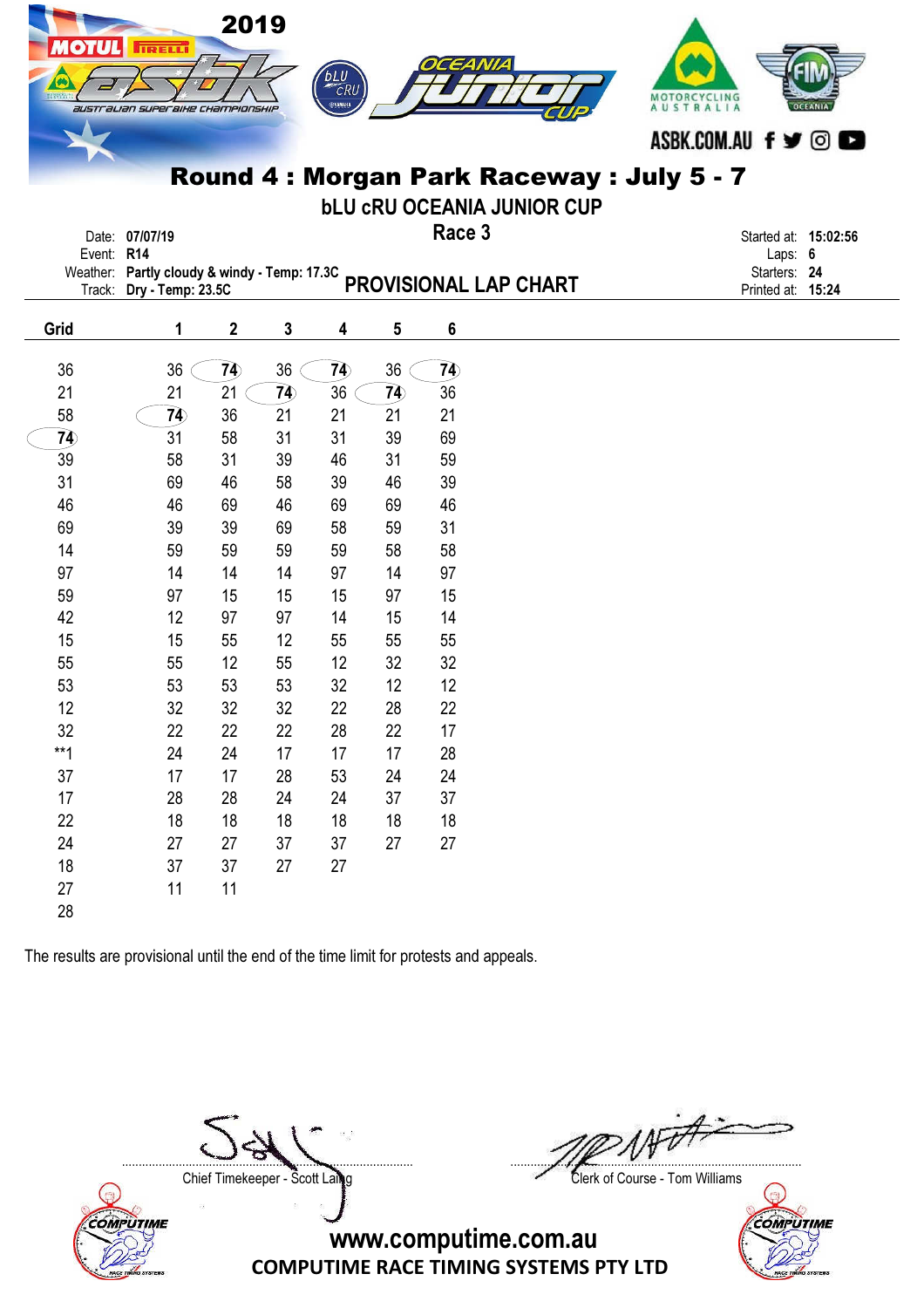| OTUL           | <b>IRELLI</b><br>australian superaixe championskip                       |             | 2019            | bLU CRU<br>ФУАМАНА |                | <b>164 N/I4</b>                   | MOTORCYCLING<br>AUSTRALIA<br>ASBK.COM.AU f y ©<br>Round 4: Morgan Park Raceway: July 5 - 7 |
|----------------|--------------------------------------------------------------------------|-------------|-----------------|--------------------|----------------|-----------------------------------|--------------------------------------------------------------------------------------------|
|                |                                                                          |             |                 |                    |                | <b>bLU CRU OCEANIA JUNIOR CUP</b> |                                                                                            |
|                | Date: 07/07/19                                                           |             |                 |                    |                | Race 3                            | Started at: 15:02:56                                                                       |
|                | Event: R14                                                               |             |                 |                    |                |                                   | Laps: 6<br>Starters: 24                                                                    |
|                | Weather: Partly cloudy & windy - Temp: 17.3C<br>Track: Dry - Temp: 23.5C |             |                 |                    |                | PROVISIONAL LAP CHART             | Printed at: 15:24                                                                          |
|                |                                                                          |             |                 |                    |                |                                   |                                                                                            |
| Grid           | 1                                                                        | $\mathbf 2$ | $\mathbf{3}$    | 4                  | 5              | 6                                 |                                                                                            |
| 36             | 36                                                                       | 74          | 36              | 74                 | 36             | 7 <sup>2</sup>                    |                                                                                            |
| 21             | 21                                                                       | 21          | $\overline{79}$ | 36                 | 7 <sub>4</sub> | 36                                |                                                                                            |
| 58             | $\overline{7}$                                                           | 36          | 21              | 21                 | 21             | 21                                |                                                                                            |
| $\overline{7}$ | 31                                                                       | 58          | 31              | 31                 | 39             | 69                                |                                                                                            |
| 39             | 58                                                                       | 31          | 39              | 46                 | 31             | 59                                |                                                                                            |
| 31             | 69                                                                       | 46          | 58              | 39                 | 46             | 39                                |                                                                                            |
| 46             | 46                                                                       | 69          | 46              | 69                 | 69             | 46                                |                                                                                            |
| 69             | 39                                                                       | 39          | 69              | 58                 | 59             | 31                                |                                                                                            |
| 14             | 59                                                                       | 59          | 59              | 59                 | 58             | 58                                |                                                                                            |
| 97             | 14                                                                       | 14          | 14              | 97                 | 14             | 97                                |                                                                                            |
| 59             | 97                                                                       | 15          | 15              | 15                 | 97             | 15                                |                                                                                            |
| 42             | 12                                                                       | 97          | 97              | 14                 | 15             | 14                                |                                                                                            |
| 15             | 15                                                                       | 55          | 12              | 55                 | 55             | 55                                |                                                                                            |
| 55             | 55                                                                       | 12          | 55              | 12                 | 32             | 32                                |                                                                                            |
| 53             | 53                                                                       | 53          | 53              | 32                 | 12             | 12                                |                                                                                            |
| 12             | 32                                                                       | 32          | 32              | 22                 | 28             | 22                                |                                                                                            |
| 32             | 22                                                                       | 22          | 22              | 28                 | 22             | 17                                |                                                                                            |
| $**1$          | 24                                                                       | 24          | 17              | 17                 | 17             | 28                                |                                                                                            |
| $37\,$         | 17                                                                       | 17          | 28              | 53                 | 24             | 24                                |                                                                                            |
| 17             | 28                                                                       | 28          | 24              | 24                 | 37             | 37                                |                                                                                            |
| 22             | 18                                                                       | 18          | 18              | 18                 | 18             | 18                                |                                                                                            |
| 24             | 27                                                                       | 27          | 37              | 37                 | 27             | 27                                |                                                                                            |
| 18             | 37                                                                       | $37\,$      | 27              | 27                 |                |                                   |                                                                                            |
| $27\,$         | 11                                                                       | 11          |                 |                    |                |                                   |                                                                                            |
| 28             |                                                                          |             |                 |                    |                |                                   |                                                                                            |



....................................................................................... .......................................................................................

Chief Timekeeper - Scott Laing Clerk of Course - Tom Williams

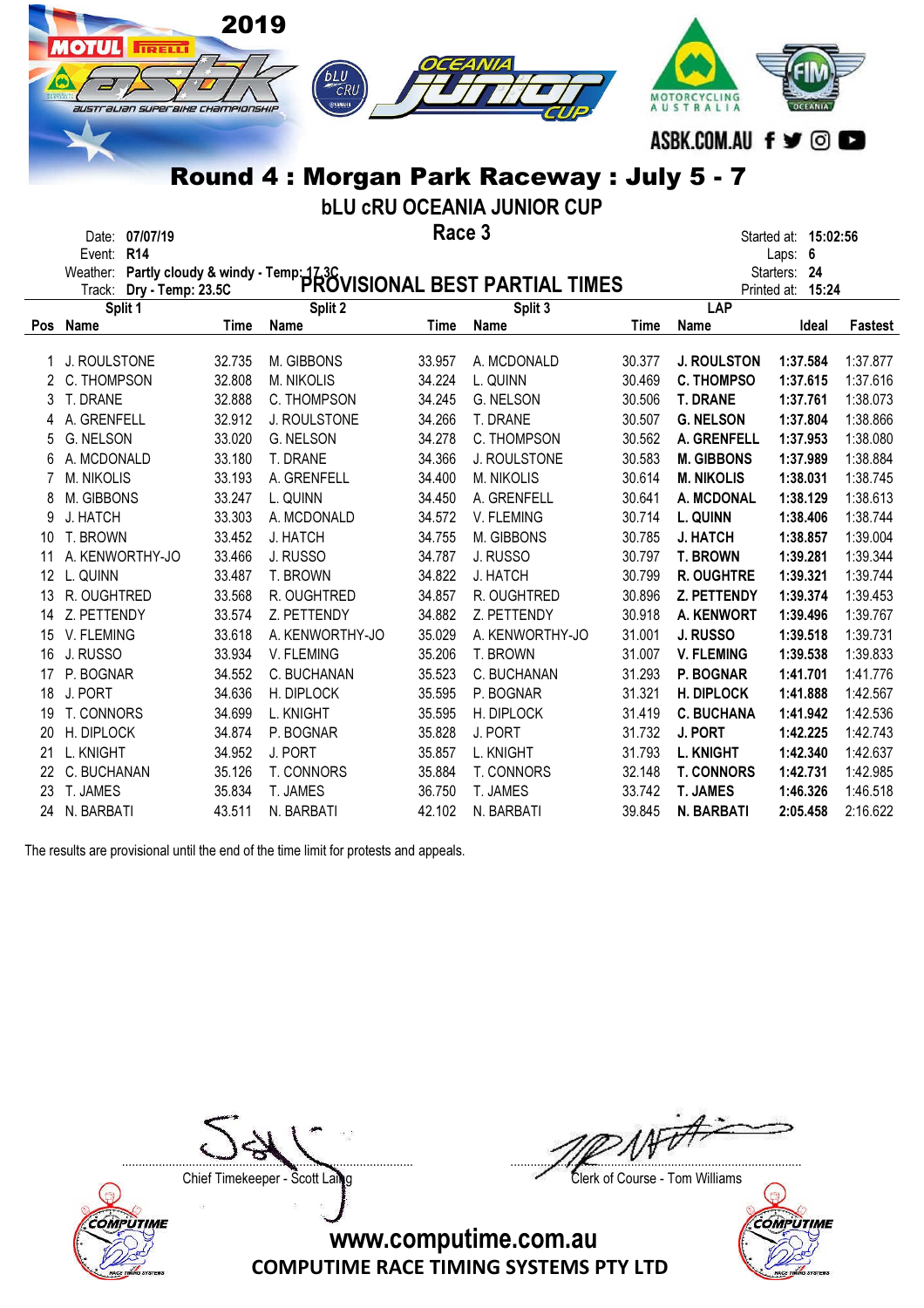|                | <b>MOTUL</b><br>IRELLI<br>australian superaixe championskip | 2019   | <b>bLU</b><br>CRU<br>ФУЛМАНА<br>Round 4: Morgan Park Raceway: July 5 - 7                                |        | CEANIA<br><b>bLU CRU OCEANIA JUNIOR CUP</b> |        | MOTORCYCLING<br>AUSTRALIA<br>ASBK.COM.AU f y © D |                         |          |
|----------------|-------------------------------------------------------------|--------|---------------------------------------------------------------------------------------------------------|--------|---------------------------------------------|--------|--------------------------------------------------|-------------------------|----------|
|                | Date: 07/07/19                                              |        |                                                                                                         | Race 3 |                                             |        |                                                  | Started at: 15:02:56    |          |
|                | Event: R14                                                  |        | Weather: Partly cloudy & windy - Temp: 17.3C<br>Track: Drv - Temp: 23.5C PROVISIONAL BEST PARTIAL TIMES |        |                                             |        |                                                  | Laps: 6<br>Starters: 24 |          |
|                |                                                             |        |                                                                                                         |        |                                             |        | <b>LAP</b>                                       | Printed at: 15:24       |          |
|                | Split 1<br>Pos Name                                         | Time   | Split 2<br>Name                                                                                         | Time   | Split 3<br>Name                             | Time   | Name                                             | Ideal                   | Fastest  |
| 1              | J. ROULSTONE                                                | 32.735 | M. GIBBONS                                                                                              | 33.957 | A. MCDONALD                                 | 30.377 | <b>J. ROULSTON</b>                               | 1:37.584                | 1:37.877 |
| 2              | C. THOMPSON                                                 | 32.808 | M. NIKOLIS                                                                                              | 34.224 | L. QUINN                                    | 30.469 | <b>C. THOMPSO</b>                                | 1:37.615                | 1:37.616 |
| 3              | T. DRANE                                                    | 32.888 | C. THOMPSON                                                                                             | 34.245 | G. NELSON                                   | 30.506 | <b>T. DRANE</b>                                  | 1:37.761                | 1:38.073 |
| 4              | A. GRENFELL                                                 | 32.912 | J. ROULSTONE                                                                                            | 34.266 | T. DRANE                                    | 30.507 | <b>G. NELSON</b>                                 | 1:37.804                | 1:38.866 |
| 5              | G. NELSON                                                   | 33.020 | G. NELSON                                                                                               | 34.278 | C. THOMPSON                                 | 30.562 | A. GRENFELL                                      | 1:37.953                | 1:38.080 |
| 6              | A. MCDONALD                                                 | 33.180 | T. DRANE                                                                                                | 34.366 | J. ROULSTONE                                | 30.583 | <b>M. GIBBONS</b>                                | 1:37.989                | 1:38.884 |
| $\overline{7}$ | <b>M. NIKOLIS</b>                                           | 33.193 | A. GRENFELL                                                                                             | 34.400 | M. NIKOLIS                                  | 30.614 | <b>M. NIKOLIS</b>                                | 1:38.031                | 1:38.745 |
| 8              | M. GIBBONS                                                  | 33.247 | L. QUINN                                                                                                | 34.450 | A. GRENFELL                                 | 30.641 | A. MCDONAL                                       | 1:38.129                | 1:38.613 |
| 9              | J. HATCH                                                    | 33.303 | A. MCDONALD                                                                                             | 34.572 | V. FLEMING                                  | 30.714 | L. QUINN                                         | 1:38.406                | 1:38.744 |
| 10             | T. BROWN                                                    | 33.452 | J. HATCH                                                                                                | 34.755 | M. GIBBONS                                  | 30.785 | <b>J. HATCH</b>                                  | 1:38.857                | 1:39.004 |
| 11             | A. KENWORTHY-JO                                             | 33.466 | J. RUSSO                                                                                                | 34.787 | J. RUSSO                                    | 30.797 | <b>T. BROWN</b>                                  | 1:39.281                | 1:39.344 |
|                | 12 L. QUINN                                                 | 33.487 | T. BROWN                                                                                                | 34.822 | J. HATCH                                    | 30.799 | R. OUGHTRE                                       | 1:39.321                | 1:39.744 |
| 13             | R. OUGHTRED                                                 | 33.568 | R. OUGHTRED                                                                                             | 34.857 | R. OUGHTRED                                 | 30.896 | Z. PETTENDY                                      | 1:39.374                | 1:39.453 |
| 14             | Z. PETTENDY                                                 | 33.574 | Z. PETTENDY                                                                                             | 34.882 | Z. PETTENDY                                 | 30.918 | A. KENWORT                                       | 1:39.496                | 1:39.767 |
|                | 15 V. FLEMING                                               | 33.618 | A. KENWORTHY-JO                                                                                         | 35.029 | A. KENWORTHY-JO                             | 31.001 | J. RUSSO                                         | 1:39.518                | 1:39.731 |
| 16             | J. RUSSO                                                    | 33.934 | V. FLEMING                                                                                              | 35.206 | T. BROWN                                    | 31.007 | <b>V. FLEMING</b>                                | 1:39.538                | 1:39.833 |
|                | 17 P. BOGNAR                                                | 34.552 | C. BUCHANAN                                                                                             | 35.523 | C. BUCHANAN                                 | 31.293 | P. BOGNAR                                        | 1:41.701                | 1:41.776 |
| 18             | J. PORT                                                     | 34.636 | H. DIPLOCK                                                                                              | 35.595 | P. BOGNAR                                   | 31.321 | <b>H. DIPLOCK</b>                                | 1:41.888                | 1:42.567 |
| 19             | T. CONNORS                                                  | 34.699 | L. KNIGHT                                                                                               | 35.595 | H. DIPLOCK                                  | 31.419 | <b>C. BUCHANA</b>                                | 1:41.942                | 1:42.536 |
| 20             | H. DIPLOCK                                                  | 34.874 | P. BOGNAR                                                                                               | 35.828 | J. PORT                                     | 31.732 | J. PORT                                          | 1:42.225                | 1:42.743 |
| 21             | L. KNIGHT                                                   | 34.952 | J. PORT                                                                                                 | 35.857 | L. KNIGHT                                   | 31.793 | <b>L. KNIGHT</b>                                 | 1:42.340                | 1:42.637 |
| 22.            | C. BUCHANAN                                                 | 35.126 | T. CONNORS                                                                                              | 35.884 | T. CONNORS                                  | 32.148 | <b>T. CONNORS</b>                                | 1:42.731                | 1:42.985 |
| 23.            | T. JAMES                                                    | 35.834 | T. JAMES                                                                                                | 36.750 | T. JAMES                                    | 33.742 | <b>T. JAMES</b>                                  | 1:46.326                | 1:46.518 |

24 N. BARBATI 43.511 N. BARBATI 42.102 N. BARBATI 39.845 N. BARBATI 2:05.458 2:16.622

The results are provisional until the end of the time limit for protests and appeals.

Chief Timekeeper - Scott Laing Clerk of Course - Tom Williams



....................................................................................... .......................................................................................

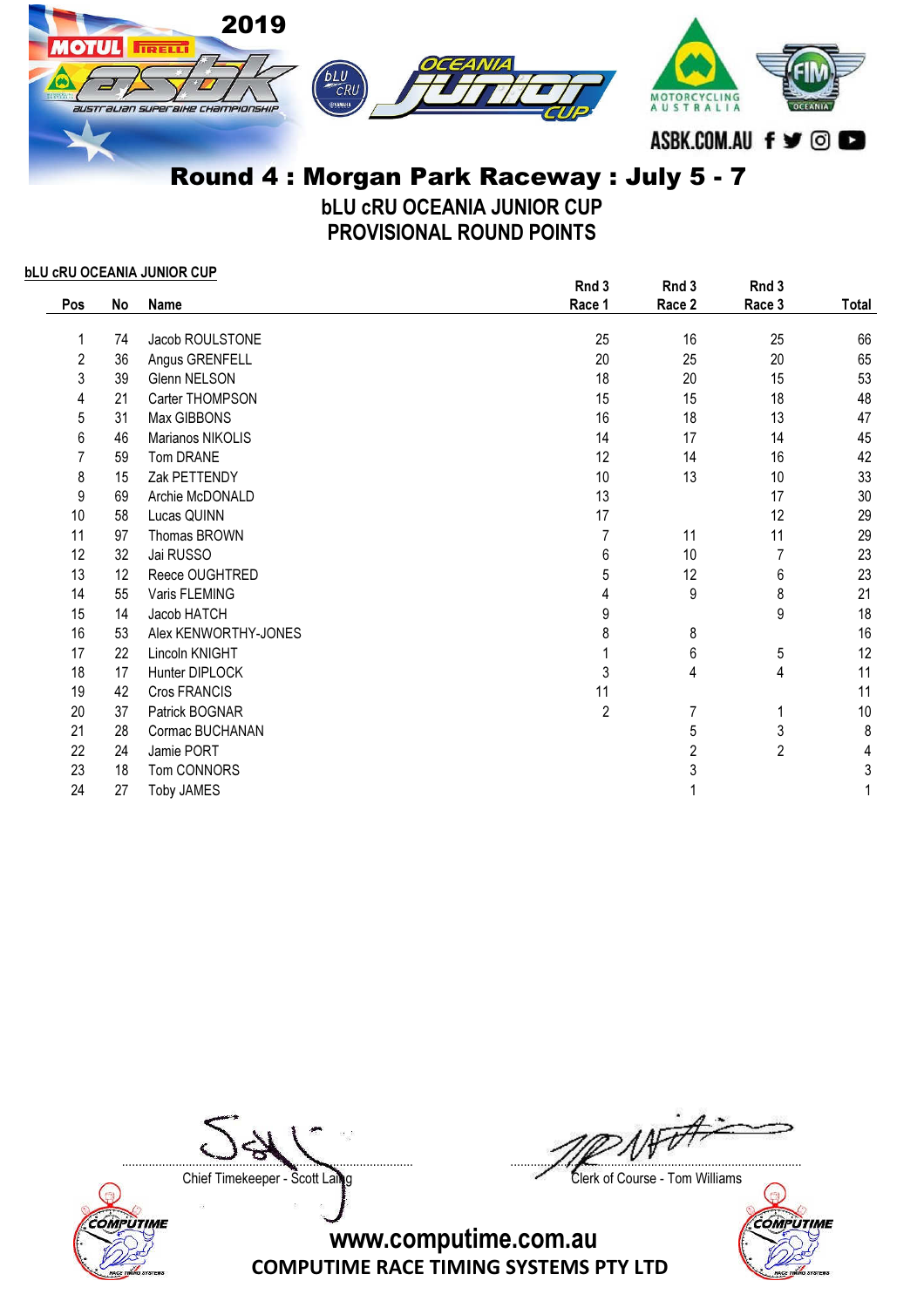

bLU cRU OCEANIA JUNIOR CUP PROVISIONAL ROUND POINTS

## bLU cRU OCEANIA JUNIOR CUP

|            |    |                      | Rnd 3          | Rnd 3  | Rnd 3  |       |
|------------|----|----------------------|----------------|--------|--------|-------|
| <b>Pos</b> | No | Name                 | Race 1         | Race 2 | Race 3 | Total |
| 1          | 74 | Jacob ROULSTONE      | 25             | 16     | 25     | 66    |
| 2          | 36 | Angus GRENFELL       | 20             | 25     | 20     | 65    |
| 3          | 39 | <b>Glenn NELSON</b>  | 18             | 20     | 15     | 53    |
| 4          | 21 | Carter THOMPSON      | 15             | 15     | 18     | 48    |
| 5          | 31 | Max GIBBONS          | 16             | 18     | 13     | 47    |
| 6          | 46 | Marianos NIKOLIS     | 14             | 17     | 14     | 45    |
|            | 59 | Tom DRANE            | 12             | 14     | 16     | 42    |
| 8          | 15 | Zak PETTENDY         | 10             | 13     | 10     | 33    |
| 9          | 69 | Archie McDONALD      | 13             |        | 17     | 30    |
| 10         | 58 | Lucas QUINN          | 17             |        | 12     | 29    |
| 11         | 97 | Thomas BROWN         | 7              | 11     | 11     | 29    |
| 12         | 32 | Jai RUSSO            | 6              | 10     | 7      | 23    |
| 13         | 12 | Reece OUGHTRED       | 5              | 12     | 6      | 23    |
| 14         | 55 | Varis FLEMING        | 4              | 9      | 8      | 21    |
| 15         | 14 | Jacob HATCH          | 9              |        | 9      | 18    |
| 16         | 53 | Alex KENWORTHY-JONES | 8              | 8      |        | 16    |
| 17         | 22 | Lincoln KNIGHT       |                | 6      | 5      | 12    |
| 18         | 17 | Hunter DIPLOCK       | 3              | 4      | 4      | 11    |
| 19         | 42 | Cros FRANCIS         | 11             |        |        | 11    |
| 20         | 37 | Patrick BOGNAR       | $\overline{2}$ | 7      | 1      | $10$  |
| 21         | 28 | Cormac BUCHANAN      |                | 5      | 3      | 8     |
| 22         | 24 | Jamie PORT           |                | 2      | 2      | 4     |
| 23         | 18 | Tom CONNORS          |                | 3      |        | 3     |
| 24         | 27 | <b>Toby JAMES</b>    |                |        |        |       |

Chief Timekeeper - Scott Laing Chief Timekeeper - Scott Laing



....................................................................................... .......................................................................................

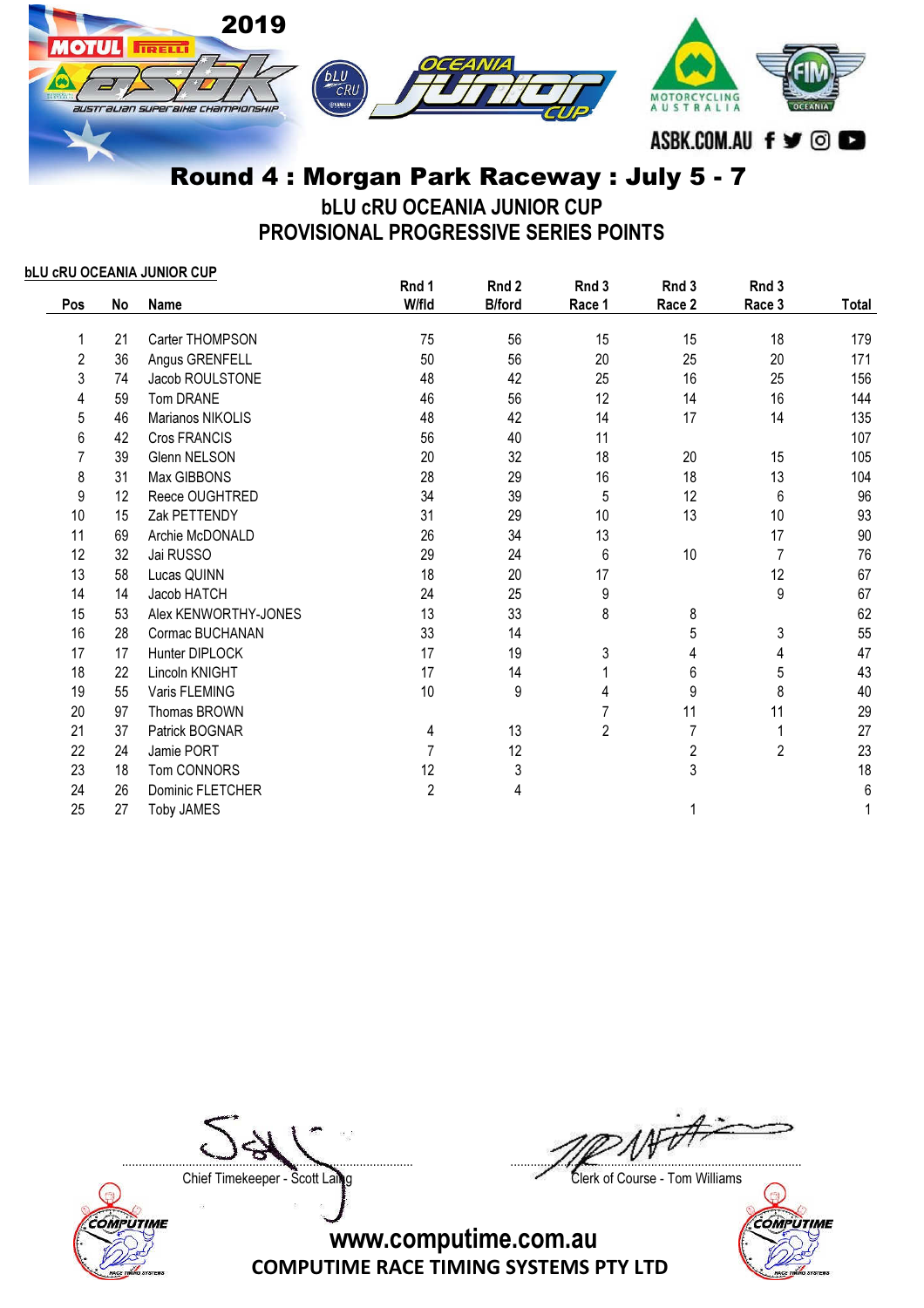

bLU cRU OCEANIA JUNIOR CUP PROVISIONAL PROGRESSIVE SERIES POINTS

bLU cRU OCEANIA JUNIOR CUP

|     |    |                         | Rnd 1      | Rnd 2         | Rnd 3          | Rnd 3                   | Rnd 3          |       |
|-----|----|-------------------------|------------|---------------|----------------|-------------------------|----------------|-------|
| Pos | No | <b>Name</b>             | W/fld      | <b>B/ford</b> | Race 1         | Race 2                  | Race 3         | Total |
|     | 21 | Carter THOMPSON         | 75         | 56            | 15             | 15                      | 18             | 179   |
| 2   | 36 | Angus GRENFELL          | 50         | 56            | 20             | 25                      | 20             | 171   |
| 3   | 74 | Jacob ROULSTONE         | 48         | 42            | 25             | 16                      | 25             | 156   |
| 4   | 59 | Tom DRANE               | 46         | 56            | 12             | 14                      | 16             | 144   |
| 5   | 46 | Marianos NIKOLIS        | 48         | 42            | 14             | 17                      | 14             | 135   |
| 6   | 42 | Cros FRANCIS            | 56         | 40            | 11             |                         |                | 107   |
| 7   | 39 | Glenn NELSON            | 20         | 32            | 18             | 20                      | 15             | 105   |
| 8   | 31 | Max GIBBONS             | 28         | 29            | 16             | 18                      | 13             | 104   |
| 9   | 12 | Reece OUGHTRED          | 34         | 39            | 5              | 12                      | 6              | 96    |
| 10  | 15 | Zak PETTENDY            | 31         | 29            | 10             | 13                      | 10             | 93    |
| 11  | 69 | Archie McDONALD         | 26         | 34            | 13             |                         | 17             | 90    |
| 12  | 32 | Jai RUSSO               | 29         | 24            | 6              | 10                      | 7              | 76    |
| 13  | 58 | Lucas QUINN             | 18         | 20            | 17             |                         | 12             | 67    |
| 14  | 14 | Jacob HATCH             | 24         | 25            | 9              |                         | 9              | 67    |
| 15  | 53 | Alex KENWORTHY-JONES    | 13         | 33            | 8              | 8                       |                | 62    |
| 16  | 28 | Cormac BUCHANAN         | 33         | 14            |                | 5                       | 3              | 55    |
| 17  | 17 | Hunter DIPLOCK          | 17         | 19            | 3              | 4                       | 4              | 47    |
| 18  | 22 | Lincoln KNIGHT          | 17         | 14            |                | $6\,$                   | 5              | 43    |
| 19  | 55 | Varis FLEMING           | 10         | 9             | 4              | 9                       | 8              | 40    |
| 20  | 97 | Thomas BROWN            |            |               |                | 11                      | 11             | 29    |
| 21  | 37 | Patrick BOGNAR          | 4          | 13            | $\overline{2}$ | 7                       | 1              | 27    |
| 22  | 24 | Jamie PORT              |            | 12            |                | $\overline{\mathbf{c}}$ | $\overline{c}$ | 23    |
| 23  | 18 | Tom CONNORS             | 12         | 3             |                | 3                       |                | 18    |
| 24  | 26 | <b>Dominic FLETCHER</b> | $\sqrt{2}$ | 4             |                |                         |                | 6     |
| 25  | 27 | <b>Toby JAMES</b>       |            |               |                |                         |                |       |



....................................................................................... .......................................................................................

Chief Timekeeper - Scott Laing Clerk of Course - Tom Williams